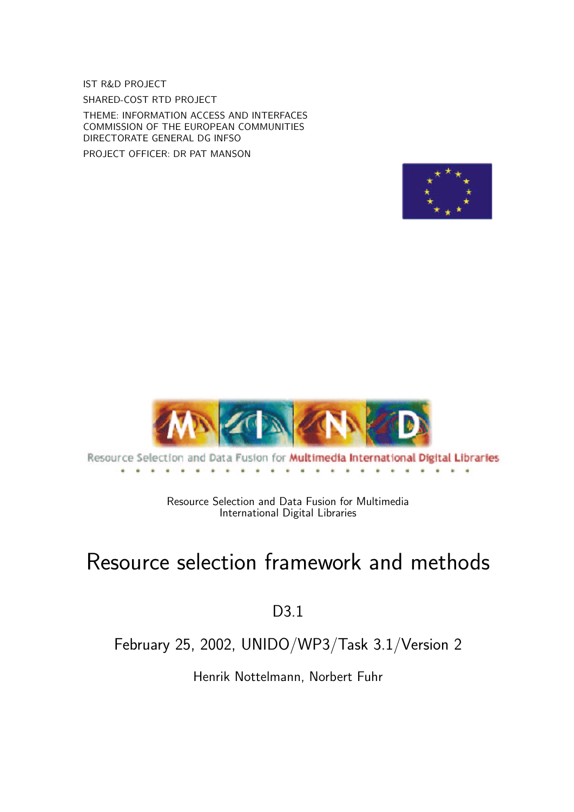IST R&D PROJECT SHARED-COST RTD PROJECT

THEME: INFORMATION ACCESS AND INTERFACES COMMISSION OF THE EUROPEAN COMMUNITIES DIRECTORATE GENERAL DG INFSO

PROJECT OFFICER: DR PAT MANSON





Resource Selection and Data Fusion for Multimedia International Digital Libraries 

> Resource Selection and Data Fusion for Multimedia International Digital Libraries

# Resource selection framework and methods

### D3.1

### February 25, 2002, UNIDO/WP3/Task 3.1/Version 2

Henrik Nottelmann, Norbert Fuhr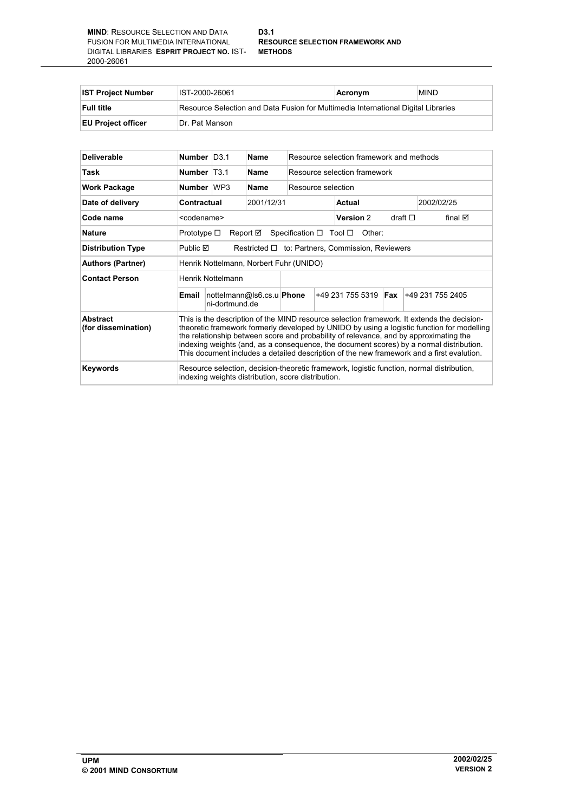#### **D3.1 RESOURCE SELECTION FRAMEWORK AND**

| <b>IST Project Number</b> | IST-2000-26061                                                                    | Acronym | <b>MIND</b> |  |
|---------------------------|-----------------------------------------------------------------------------------|---------|-------------|--|
| <b>Full title</b>         | Resource Selection and Data Fusion for Multimedia International Digital Libraries |         |             |  |
| <b>EU Project officer</b> | Dr. Pat Manson                                                                    |         |             |  |

| <b>Deliverable</b>              | Number   D3.1                                                                                                                                                                                                                                                                                                                                                                                                                                                             |                                                                          | Name                      | Resource selection framework and methods |                     |                 |                  |
|---------------------------------|---------------------------------------------------------------------------------------------------------------------------------------------------------------------------------------------------------------------------------------------------------------------------------------------------------------------------------------------------------------------------------------------------------------------------------------------------------------------------|--------------------------------------------------------------------------|---------------------------|------------------------------------------|---------------------|-----------------|------------------|
| Task                            | Number   T3.1                                                                                                                                                                                                                                                                                                                                                                                                                                                             |                                                                          | Name                      | Resource selection framework             |                     |                 |                  |
| <b>Work Package</b>             | Number WP3                                                                                                                                                                                                                                                                                                                                                                                                                                                                |                                                                          | Name                      | Resource selection                       |                     |                 |                  |
| Date of delivery                |                                                                                                                                                                                                                                                                                                                                                                                                                                                                           | Contractual<br>2001/12/31                                                |                           |                                          | Actual              |                 | 2002/02/25       |
| Code name                       |                                                                                                                                                                                                                                                                                                                                                                                                                                                                           | <codename></codename>                                                    |                           |                                          | Version 2           | draft $\square$ | final ⊠          |
| <b>Nature</b>                   | Prototype $\square$<br>Report $\boxtimes$<br>Specification $\Box$ Tool $\Box$<br>Other:                                                                                                                                                                                                                                                                                                                                                                                   |                                                                          |                           |                                          |                     |                 |                  |
| <b>Distribution Type</b>        |                                                                                                                                                                                                                                                                                                                                                                                                                                                                           | Public <b>☑</b><br>Restricted $\Box$ to: Partners, Commission, Reviewers |                           |                                          |                     |                 |                  |
| <b>Authors (Partner)</b>        | Henrik Nottelmann, Norbert Fuhr (UNIDO)                                                                                                                                                                                                                                                                                                                                                                                                                                   |                                                                          |                           |                                          |                     |                 |                  |
| <b>Contact Person</b>           | Henrik Nottelmann                                                                                                                                                                                                                                                                                                                                                                                                                                                         |                                                                          |                           |                                          |                     |                 |                  |
|                                 | Email                                                                                                                                                                                                                                                                                                                                                                                                                                                                     | ni-dortmund.de                                                           | nottelmann@ls6.cs.u Phone |                                          | $+492317555319$ Fax |                 | +49 231 755 2405 |
| Abstract<br>(for dissemination) | This is the description of the MIND resource selection framework. It extends the decision-<br>theoretic framework formerly developed by UNIDO by using a logistic function for modelling<br>the relationship between score and probability of relevance, and by approximating the<br>indexing weights (and, as a consequence, the document scores) by a normal distribution.<br>This document includes a detailed description of the new framework and a first evalution. |                                                                          |                           |                                          |                     |                 |                  |
| <b>Keywords</b>                 | Resource selection, decision-theoretic framework, logistic function, normal distribution,<br>indexing weights distribution, score distribution.                                                                                                                                                                                                                                                                                                                           |                                                                          |                           |                                          |                     |                 |                  |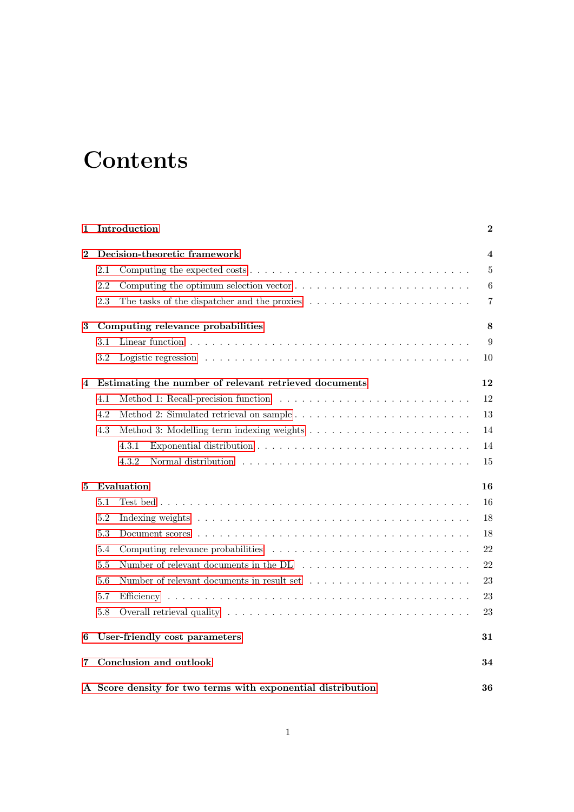# **Contents**

| 1              | Introduction                                                                                                | 2              |  |  |  |  |  |
|----------------|-------------------------------------------------------------------------------------------------------------|----------------|--|--|--|--|--|
| $\overline{2}$ | Decision-theoretic framework                                                                                |                |  |  |  |  |  |
|                | 2.1                                                                                                         | $\overline{5}$ |  |  |  |  |  |
|                | 2.2<br>Computing the optimum selection vector $\dots \dots \dots \dots \dots \dots \dots \dots \dots \dots$ | $\,6\,$        |  |  |  |  |  |
|                | 2.3<br>The tasks of the dispatcher and the proxies $\dots \dots \dots \dots \dots \dots \dots \dots$        | $\overline{7}$ |  |  |  |  |  |
| 3              | Computing relevance probabilities                                                                           | 8              |  |  |  |  |  |
|                | 3.1                                                                                                         | 9              |  |  |  |  |  |
|                | 3.2                                                                                                         | 10             |  |  |  |  |  |
| 4              | Estimating the number of relevant retrieved documents                                                       | 12             |  |  |  |  |  |
|                | 4.1                                                                                                         | 12             |  |  |  |  |  |
|                | 4.2                                                                                                         | 13             |  |  |  |  |  |
|                | Method 3: Modelling term indexing weights $\dots \dots \dots \dots \dots \dots \dots \dots \dots$<br>4.3    | 14             |  |  |  |  |  |
|                | 4.3.1                                                                                                       | 14             |  |  |  |  |  |
|                | 4.3.2                                                                                                       | 15             |  |  |  |  |  |
| 5              | Evaluation                                                                                                  | 16             |  |  |  |  |  |
|                | 5.1                                                                                                         | 16             |  |  |  |  |  |
|                | 5.2                                                                                                         | 18             |  |  |  |  |  |
|                | 5.3                                                                                                         | 18             |  |  |  |  |  |
|                | 5.4                                                                                                         | 22             |  |  |  |  |  |
|                | 5.5                                                                                                         | 22             |  |  |  |  |  |
|                | 5.6                                                                                                         | 23             |  |  |  |  |  |
|                | 5.7                                                                                                         | 23             |  |  |  |  |  |
|                | $5.8\,$                                                                                                     | 23             |  |  |  |  |  |
| 6              | User-friendly cost parameters                                                                               | 31             |  |  |  |  |  |
| 7              | Conclusion and outlook                                                                                      | 34             |  |  |  |  |  |
|                | A Score density for two terms with exponential distribution                                                 |                |  |  |  |  |  |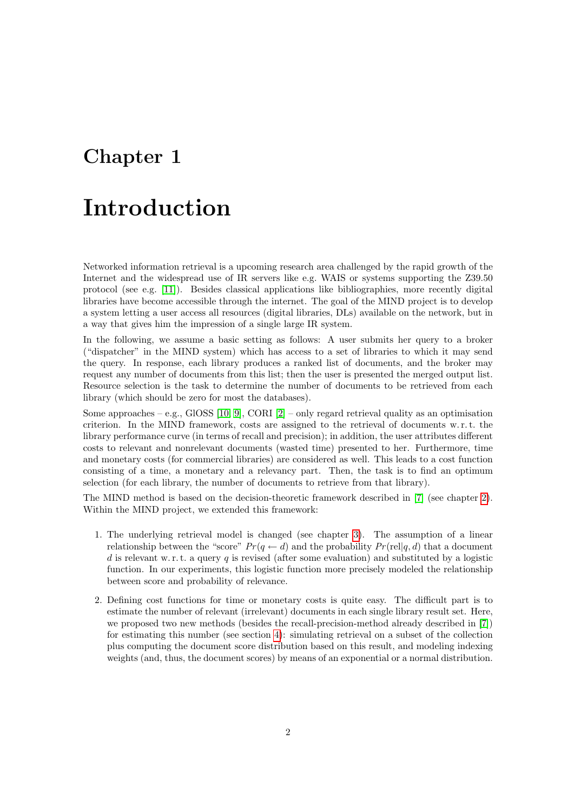## <span id="page-3-0"></span>Introduction

Networked information retrieval is a upcoming research area challenged by the rapid growth of the Internet and the widespread use of IR servers like e.g. WAIS or systems supporting the Z39.50 protocol (see e.g. [\[11\]](#page-40-0)). Besides classical applications like bibliographies, more recently digital libraries have become accessible through the internet. The goal of the MIND project is to develop a system letting a user access all resources (digital libraries, DLs) available on the network, but in a way that gives him the impression of a single large IR system.

In the following, we assume a basic setting as follows: A user submits her query to a broker ("dispatcher" in the MIND system) which has access to a set of libraries to which it may send the query. In response, each library produces a ranked list of documents, and the broker may request any number of documents from this list; then the user is presented the merged output list. Resource selection is the task to determine the number of documents to be retrieved from each library (which should be zero for most the databases).

Some approaches – e.g., GIOSS [\[10,](#page-40-1) [9\]](#page-40-2), CORI [\[2\]](#page-40-3) – only regard retrieval quality as an optimisation criterion. In the MIND framework, costs are assigned to the retrieval of documents w. r. t. the library performance curve (in terms of recall and precision); in addition, the user attributes different costs to relevant and nonrelevant documents (wasted time) presented to her. Furthermore, time and monetary costs (for commercial libraries) are considered as well. This leads to a cost function consisting of a time, a monetary and a relevancy part. Then, the task is to find an optimum selection (for each library, the number of documents to retrieve from that library).

The MIND method is based on the decision-theoretic framework described in [\[7\]](#page-40-4) (see chapter [2\)](#page-5-0). Within the MIND project, we extended this framework:

- 1. The underlying retrieval model is changed (see chapter [3\)](#page-9-0). The assumption of a linear relationship between the "score"  $Pr(q \leftarrow d)$  and the probability  $Pr(\text{rel}|q, d)$  that a document d is relevant w.r.t. a query q is revised (after some evaluation) and substituted by a logistic function. In our experiments, this logistic function more precisely modeled the relationship between score and probability of relevance.
- 2. Defining cost functions for time or monetary costs is quite easy. The difficult part is to estimate the number of relevant (irrelevant) documents in each single library result set. Here, we proposed two new methods (besides the recall-precision-method already described in [\[7\]](#page-40-4)) for estimating this number (see section [4\)](#page-13-0): simulating retrieval on a subset of the collection plus computing the document score distribution based on this result, and modeling indexing weights (and, thus, the document scores) by means of an exponential or a normal distribution.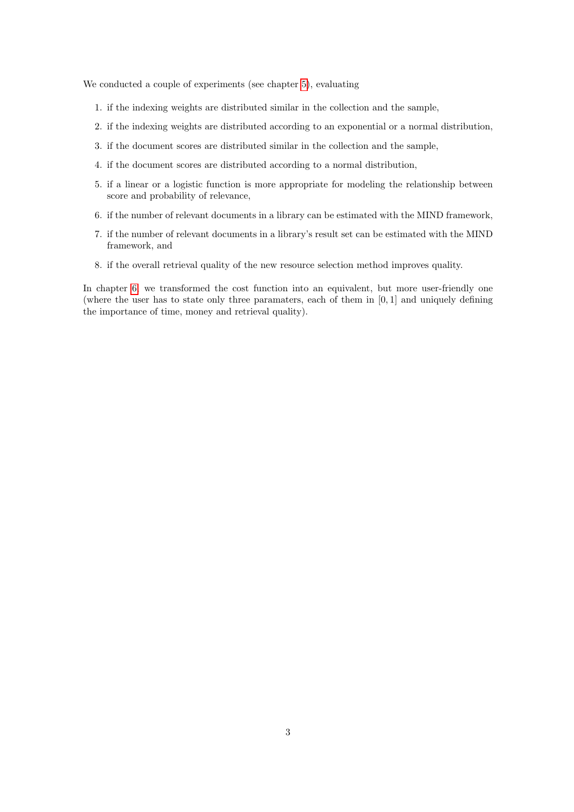We conducted a couple of experiments (see chapter [5\)](#page-17-0), evaluating

- 1. if the indexing weights are distributed similar in the collection and the sample,
- 2. if the indexing weights are distributed according to an exponential or a normal distribution,
- 3. if the document scores are distributed similar in the collection and the sample,
- 4. if the document scores are distributed according to a normal distribution,
- 5. if a linear or a logistic function is more appropriate for modeling the relationship between score and probability of relevance,
- 6. if the number of relevant documents in a library can be estimated with the MIND framework,
- 7. if the number of relevant documents in a library's result set can be estimated with the MIND framework, and
- 8. if the overall retrieval quality of the new resource selection method improves quality.

In chapter [6,](#page-32-0) we transformed the cost function into an equivalent, but more user-friendly one (where the user has to state only three paramaters, each of them in  $[0, 1]$  and uniquely defining the importance of time, money and retrieval quality).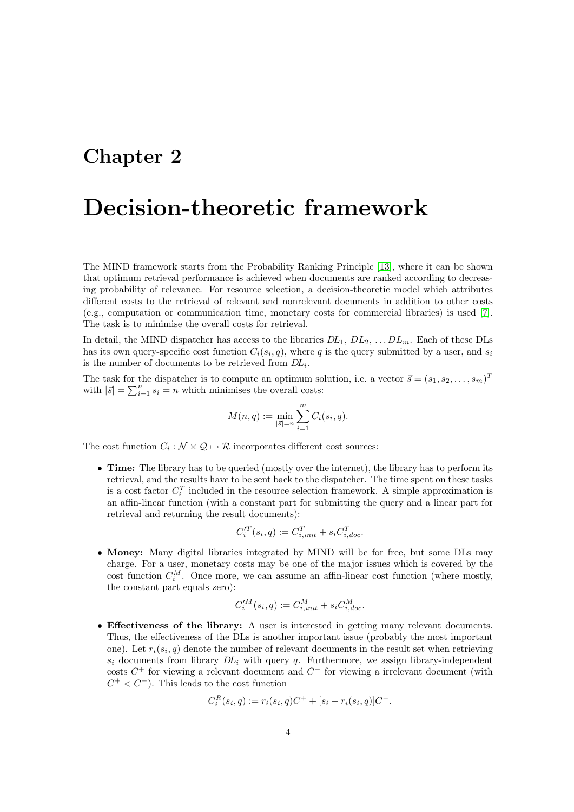## <span id="page-5-0"></span>Decision-theoretic framework

The MIND framework starts from the Probability Ranking Principle [\[13\]](#page-40-5), where it can be shown that optimum retrieval performance is achieved when documents are ranked according to decreasing probability of relevance. For resource selection, a decision-theoretic model which attributes different costs to the retrieval of relevant and nonrelevant documents in addition to other costs (e.g., computation or communication time, monetary costs for commercial libraries) is used [\[7\]](#page-40-4). The task is to minimise the overall costs for retrieval.

In detail, the MIND dispatcher has access to the libraries  $DL_1$ ,  $DL_2$ , ...  $DL_m$ . Each of these DLs has its own query-specific cost function  $C_i(s_i, q)$ , where q is the query submitted by a user, and  $s_i$ is the number of documents to be retrieved from  $DL_i$ .

The task for the dispatcher is to compute an optimum solution, i.e. a vector  $\vec{s} = (s_1, s_2, \ldots, s_m)^T$ with  $|\vec{s}| = \sum_{i=1}^{n} s_i = n$  which minimises the overall costs:

$$
M(n,q) := \min_{|\vec{s}| = n} \sum_{i=1}^{m} C_i(s_i, q).
$$

The cost function  $C_i : \mathcal{N} \times \mathcal{Q} \mapsto \mathcal{R}$  incorporates different cost sources:

• Time: The library has to be queried (mostly over the internet), the library has to perform its retrieval, and the results have to be sent back to the dispatcher. The time spent on these tasks is a cost factor  $C_i^T$  included in the resource selection framework. A simple approximation is an affin-linear function (with a constant part for submitting the query and a linear part for retrieval and returning the result documents):

$$
C_i^{\prime T}(s_i, q) := C_{i, init}^T + s_i C_{i, doc}^T.
$$

• Money: Many digital libraries integrated by MIND will be for free, but some DLs may charge. For a user, monetary costs may be one of the major issues which is covered by the cost function  $C_i^M$ . Once more, we can assume an affin-linear cost function (where mostly, the constant part equals zero):

$$
C_i^{\prime M}(s_i, q) := C_{i, init}^M + s_i C_{i, doc}^M.
$$

• Effectiveness of the library: A user is interested in getting many relevant documents. Thus, the effectiveness of the DLs is another important issue (probably the most important one). Let  $r_i(s_i, q)$  denote the number of relevant documents in the result set when retrieving  $s_i$  documents from library  $DL_i$  with query q. Furthermore, we assign library-independent costs  $C^+$  for viewing a relevant document and  $C^-$  for viewing a irrelevant document (with  $C^+ < C^-$ ). This leads to the cost function

$$
C_i^R(s_i, q) := r_i(s_i, q)C^+ + [s_i - r_i(s_i, q)]C^-.
$$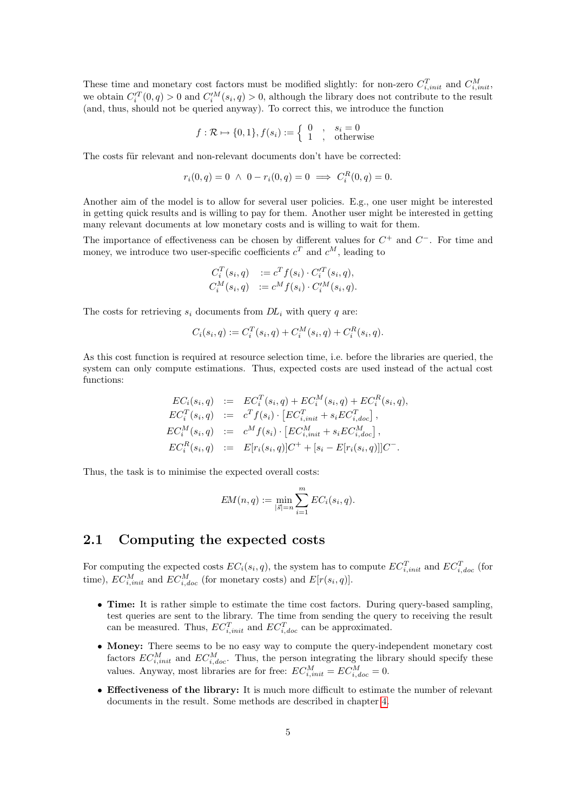These time and monetary cost factors must be modified slightly: for non-zero  $C_{i,init}^T$  and  $C_{i,init}^M$ , we obtain  $C_i'^T(0, q) > 0$  and  $C_i'^M(s_i, q) > 0$ , although the library does not contribute to the result (and, thus, should not be queried anyway). To correct this, we introduce the function

$$
f: \mathcal{R} \mapsto \{0, 1\}, f(s_i) := \left\{ \begin{array}{c} 0, & s_i = 0 \\ 1, & \text{otherwise} \end{array} \right.
$$

The costs für relevant and non-relevant documents don't have be corrected:

$$
r_i(0, q) = 0 \ \land \ 0 - r_i(0, q) = 0 \implies C_i^R(0, q) = 0.
$$

Another aim of the model is to allow for several user policies. E.g., one user might be interested in getting quick results and is willing to pay for them. Another user might be interested in getting many relevant documents at low monetary costs and is willing to wait for them.

The importance of effectiveness can be chosen by different values for  $C^+$  and  $C^-$ . For time and money, we introduce two user-specific coefficients  $c^T$  and  $c^M$ , leading to

$$
C_i^T(s_i, q) := c^T f(s_i) \cdot C_i^T(s_i, q), C_i^M(s_i, q) := c^M f(s_i) \cdot C_i^M(s_i, q).
$$

The costs for retrieving  $s_i$  documents from  $DL_i$  with query q are:

$$
C_i(s_i, q) := C_i^T(s_i, q) + C_i^M(s_i, q) + C_i^R(s_i, q).
$$

As this cost function is required at resource selection time, i.e. before the libraries are queried, the system can only compute estimations. Thus, expected costs are used instead of the actual cost functions:

$$
EC_i(s_i, q) := EC_i^T(s_i, q) + EC_i^M(s_i, q) + EC_i^R(s_i, q),
$$
  
\n
$$
EC_i^T(s_i, q) := c^T f(s_i) \cdot [EC_{i,init}^T + s_i EC_{i, doc}^T],
$$
  
\n
$$
EC_i^M(s_i, q) := c^M f(s_i) \cdot [EC_{i,init}^M + s_i EC_{i, doc}^M],
$$
  
\n
$$
EC_i^R(s_i, q) := E[r_i(s_i, q)]C^+ + [s_i - E[r_i(s_i, q)]]C^-.
$$

Thus, the task is to minimise the expected overall costs:

$$
EM(n, q) := \min_{|\vec{s}| = n} \sum_{i=1}^{m} EC_i(s_i, q).
$$

#### <span id="page-6-0"></span>2.1 Computing the expected costs

For computing the expected costs  $EC_i(s_i, q)$ , the system has to compute  $EC_{i,init}^T$  and  $EC_{i,doc}^T$  (for time),  $EC_{i,init}^M$  and  $EC_{i,doc}^M$  (for monetary costs) and  $E[r(s_i, q)]$ .

- Time: It is rather simple to estimate the time cost factors. During query-based sampling, test queries are sent to the library. The time from sending the query to receiving the result can be measured. Thus,  $EC_{i,init}^T$  and  $EC_{i,doc}^T$  can be approximated.
- Money: There seems to be no easy way to compute the query-independent monetary cost factors  $EC_{i,init}^M$  and  $EC_{i,doc}^M$ . Thus, the person integrating the library should specify these values. Anyway, most libraries are for free:  $EC_{i,init}^M = EC_{i,doc}^M = 0$ .
- Effectiveness of the library: It is much more difficult to estimate the number of relevant documents in the result. Some methods are described in chapter [4.](#page-13-0)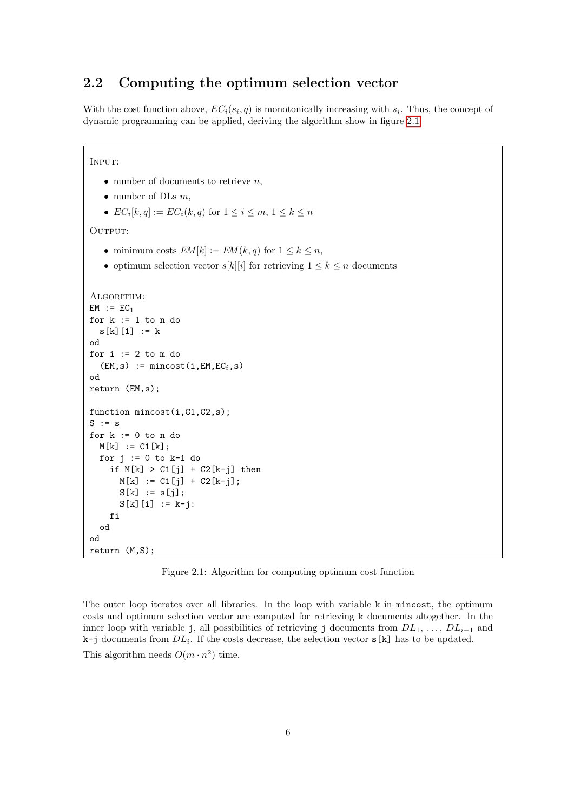### <span id="page-7-0"></span>2.2 Computing the optimum selection vector

With the cost function above,  $EC_i(s_i, q)$  is monotonically increasing with  $s_i$ . Thus, the concept of dynamic programming can be applied, deriving the algorithm show in figure [2.1.](#page-7-1)

```
Input:
   • number of documents to retrieve n,
   • number of DLs m,
   • EC_i[k,q] := EC_i(k,q) for 1 \leq i \leq m, 1 \leq k \leq nOUTPUT:
   • minimum costs EM[k] := EM(k, q) for 1 \leq k \leq n,
   • optimum selection vector s[k][i] for retrieving 1 \leq k \leq n documents
ALGORITHM:
EM := EC<sub>1</sub>for k := 1 to n do
  s[k][1] := kod
for i := 2 to m do
  (EM,s) := mincost(i, EM, EC<sub>i</sub>, s)od
return (EM,s);
function mincost(i,C1,C2,s);
S := Sfor k := 0 to n do
  M[k] := C1[k];for j := 0 to k-1 do
    if M[k] > C1[j] + C2[k-j] then
       M[k] := C1[j] + C2[k-j];S[k] := S[j];S[k][i] := k-i:
    fi
  od
od
return (M,S);
```
<span id="page-7-1"></span>Figure 2.1: Algorithm for computing optimum cost function

The outer loop iterates over all libraries. In the loop with variable k in mincost, the optimum costs and optimum selection vector are computed for retrieving k documents altogether. In the inner loop with variable j, all possibilities of retrieving j documents from  $DL_1, \ldots, DL_{i-1}$  and  $k-j$  documents from  $DL_i$ . If the costs decrease, the selection vector  $s[k]$  has to be updated. This algorithm needs  $O(m \cdot n^2)$  time.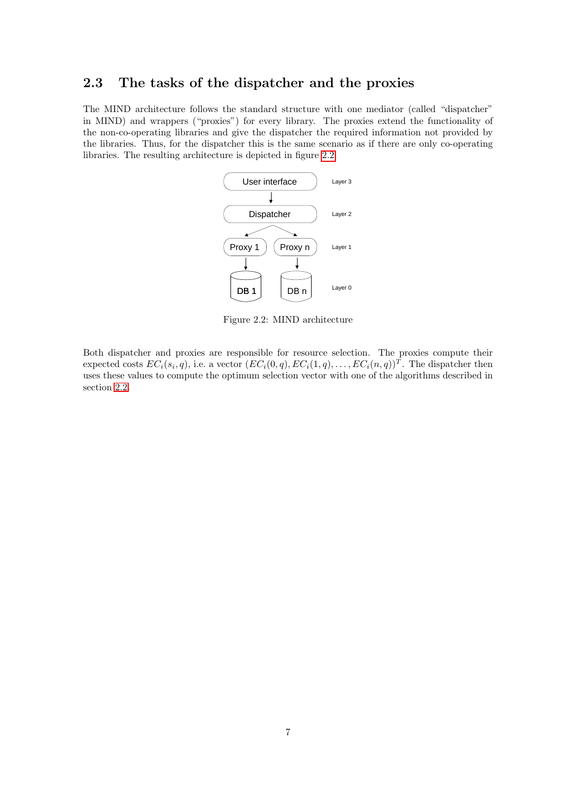### <span id="page-8-0"></span>2.3 The tasks of the dispatcher and the proxies

The MIND architecture follows the standard structure with one mediator (called "dispatcher" in MIND) and wrappers ("proxies") for every library. The proxies extend the functionality of the non-co-operating libraries and give the dispatcher the required information not provided by the libraries. Thus, for the dispatcher this is the same scenario as if there are only co-operating libraries. The resulting architecture is depicted in figure [2.2.](#page-8-1)



<span id="page-8-1"></span>Figure 2.2: MIND architecture

Both dispatcher and proxies are responsible for resource selection. The proxies compute their expected costs  $EC_i(s_i, q)$ , i.e. a vector  $(EC_i(0, q), EC_i(1, q), \ldots, EC_i(n, q))^T$ . The dispatcher then uses these values to compute the optimum selection vector with one of the algorithms described in section [2.2.](#page-7-0)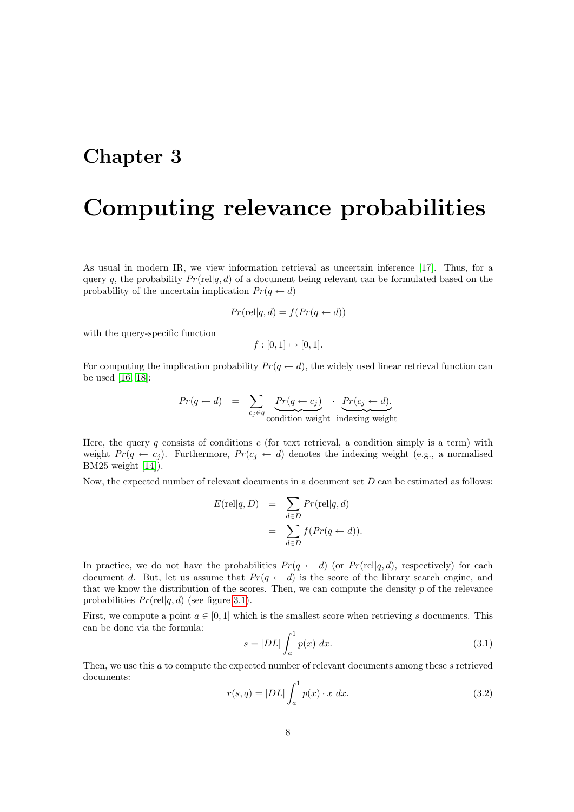## <span id="page-9-0"></span>Computing relevance probabilities

As usual in modern IR, we view information retrieval as uncertain inference [\[17\]](#page-41-0). Thus, for a query q, the probability  $Pr(\text{rel}|q, d)$  of a document being relevant can be formulated based on the probability of the uncertain implication  $Pr(q \leftarrow d)$ 

$$
Pr(\text{rel}|q, d) = f(Pr(q \leftarrow d))
$$

with the query-specific function

 $f : [0, 1] \mapsto [0, 1].$ 

For computing the implication probability  $Pr(q \leftarrow d)$ , the widely used linear retrieval function can be used [\[16,](#page-41-1) [18\]](#page-41-2):

$$
Pr(q \leftarrow d) = \sum_{c_j \in q} \underbrace{Pr(q \leftarrow c_j)}_{\text{condition weight}} \cdot \underbrace{Pr(c_j \leftarrow d)}_{\text{indexing weight}}
$$

Here, the query q consists of conditions c (for text retrieval, a condition simply is a term) with weight  $Pr(q \leftarrow c_j)$ . Furthermore,  $Pr(c_j \leftarrow d)$  denotes the indexing weight (e.g., a normalised BM25 weight [\[14\]](#page-41-3)).

Now, the expected number of relevant documents in a document set  $D$  can be estimated as follows:

$$
E(\text{rel}|q, D) = \sum_{d \in D} Pr(\text{rel}|q, d)
$$
  
= 
$$
\sum_{d \in D} f(Pr(q \leftarrow d)).
$$

In practice, we do not have the probabilities  $Pr(q \leftarrow d)$  (or  $Pr(\text{rel}|q, d)$ , respectively) for each document d. But, let us assume that  $Pr(q \leftarrow d)$  is the score of the library search engine, and that we know the distribution of the scores. Then, we can compute the density p of the relevance probabilities  $Pr(\text{rel}|q, d)$  (see figure [3.1\)](#page-10-1).

First, we compute a point  $a \in [0,1]$  which is the smallest score when retrieving s documents. This can be done via the formula:

<span id="page-9-1"></span>
$$
s = |DL| \int_{a}^{1} p(x) dx.
$$
\n(3.1)

Then, we use this a to compute the expected number of relevant documents among these s retrieved documents:

<span id="page-9-2"></span>
$$
r(s,q) = |DL| \int_a^1 p(x) \cdot x \ dx.
$$
 (3.2)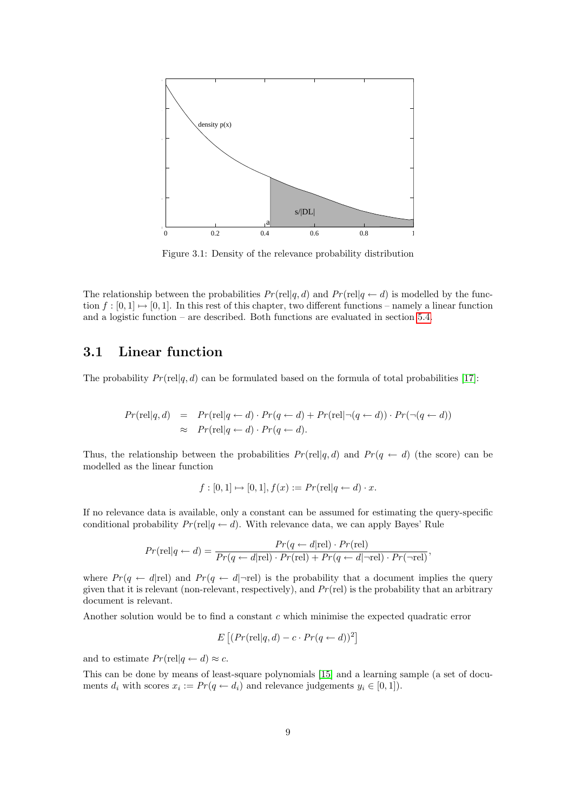

<span id="page-10-1"></span>Figure 3.1: Density of the relevance probability distribution

The relationship between the probabilities  $Pr(\text{rel}|q, d)$  and  $Pr(\text{rel}|q \leftarrow d)$  is modelled by the function  $f : [0, 1] \mapsto [0, 1]$ . In this rest of this chapter, two different functions – namely a linear function and a logistic function – are described. Both functions are evaluated in section [5.4.](#page-23-0)

#### <span id="page-10-0"></span>3.1 Linear function

The probability  $Pr(\text{rel}|q, d)$  can be formulated based on the formula of total probabilities [\[17\]](#page-41-0):

$$
Pr(\text{rel}|q, d) = Pr(\text{rel}|q \leftarrow d) \cdot Pr(q \leftarrow d) + Pr(\text{rel}|\neg(q \leftarrow d)) \cdot Pr(\neg(q \leftarrow d))
$$
  
 
$$
\approx Pr(\text{rel}|q \leftarrow d) \cdot Pr(q \leftarrow d).
$$

Thus, the relationship between the probabilities  $Pr(\text{rel}|q, d)$  and  $Pr(q \leftarrow d)$  (the score) can be modelled as the linear function

$$
f: [0,1] \mapsto [0,1], f(x) := Pr(\text{rel}|q \leftarrow d) \cdot x.
$$

If no relevance data is available, only a constant can be assumed for estimating the query-specific conditional probability  $Pr(\text{rel}|q \leftarrow d)$ . With relevance data, we can apply Bayes' Rule

$$
Pr(\text{rel}|q \leftarrow d) = \frac{Pr(q \leftarrow d|\text{rel}) \cdot Pr(\text{rel})}{Pr(q \leftarrow d|\text{rel}) \cdot Pr(\text{rel}) + Pr(q \leftarrow d|\neg \text{rel}) \cdot Pr(\neg \text{rel})},
$$

where  $Pr(q \leftarrow d | rel)$  and  $Pr(q \leftarrow d | \neg rel)$  is the probability that a document implies the query given that it is relevant (non-relevant, respectively), and  $Pr$  (rel) is the probability that an arbitrary document is relevant.

Another solution would be to find a constant  $c$  which minimise the expected quadratic error

$$
E\left[ (Pr(\text{rel}|q, d) - c \cdot Pr(q \leftarrow d))^2 \right]
$$

and to estimate  $Pr(\text{rel}|q \leftarrow d) \approx c$ .

This can be done by means of least-square polynomials [\[15\]](#page-41-4) and a learning sample (a set of documents  $d_i$  with scores  $x_i := Pr(q \leftarrow d_i)$  and relevance judgements  $y_i \in [0, 1]$ .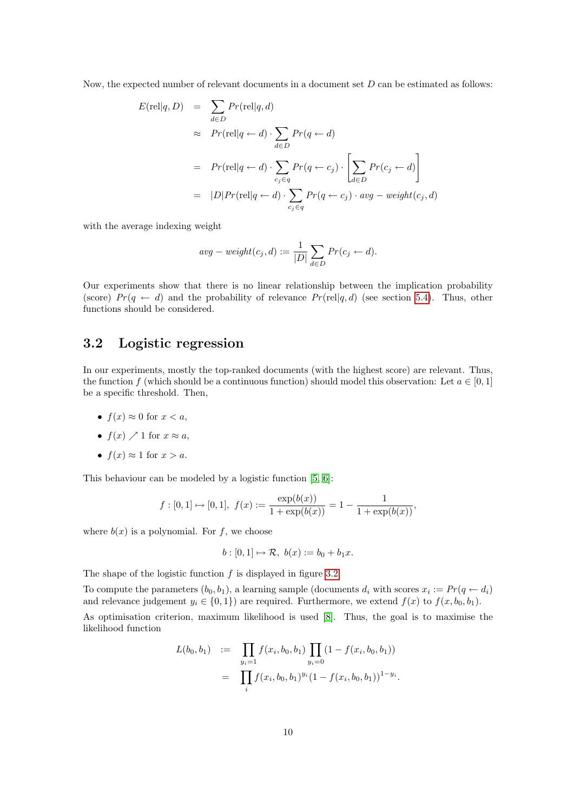Now, the expected number of relevant documents in a document set  $D$  can be estimated as follows:

$$
E(\text{rel}|q, D) = \sum_{d \in D} Pr(\text{rel}|q, d)
$$
  
\n
$$
\approx Pr(\text{rel}|q \leftarrow d) \cdot \sum_{d \in D} Pr(q \leftarrow d)
$$
  
\n
$$
= Pr(\text{rel}|q \leftarrow d) \cdot \sum_{c_j \in q} Pr(q \leftarrow c_j) \cdot \left[ \sum_{d \in D} Pr(c_j \leftarrow d) \right] \right]
$$
  
\n
$$
= |D| Pr(\text{rel}|q \leftarrow d) \cdot \sum_{c_j \in q} Pr(q \leftarrow c_j) \cdot avg - weight(c_j, d)
$$

with the average indexing weight

$$
avg - weight(c_j, d) := \frac{1}{|D|} \sum_{d \in D} Pr(c_j \leftarrow d).
$$

Our experiments show that there is no linear relationship between the implication probability (score)  $Pr(q \leftarrow d)$  and the probability of relevance  $Pr(\text{rel}|q, d)$  (see section [5.4\)](#page-23-0). Thus, other functions should be considered.

### <span id="page-11-0"></span>3.2 Logistic regression

In our experiments, mostly the top-ranked documents (with the highest score) are relevant. Thus, the function f (which should be a continuous function) should model this observation: Let  $a \in [0,1]$ be a specific threshold. Then,

- $f(x) \approx 0$  for  $x < a$ ,
- $f(x) \nearrow 1$  for  $x \approx a$ ,
- $f(x) \approx 1$  for  $x > a$ .

This behaviour can be modeled by a logistic function [\[5,](#page-40-6) [6\]](#page-40-7):

$$
f: [0,1] \mapsto [0,1],
$$
  $f(x) := \frac{\exp(b(x))}{1 + \exp(b(x))} = 1 - \frac{1}{1 + \exp(b(x))}$ ,

where  $b(x)$  is a polynomial. For f, we choose

$$
b: [0,1] \mapsto \mathcal{R}, b(x) := b_0 + b_1 x.
$$

The shape of the logistic function  $f$  is displayed in figure [3.2.](#page-12-0)

To compute the parameters  $(b_0, b_1)$ , a learning sample (documents  $d_i$  with scores  $x_i := Pr(q \leftarrow d_i)$ and relevance judgement  $y_i \in \{0, 1\}$  are required. Furthermore, we extend  $f(x)$  to  $f(x, b_0, b_1)$ .

As optimisation criterion, maximum likelihood is used [\[8\]](#page-40-8). Thus, the goal is to maximise the likelihood function

$$
L(b_0, b_1) := \prod_{y_i=1} f(x_i, b_0, b_1) \prod_{y_i=0} (1 - f(x_i, b_0, b_1))
$$
  
= 
$$
\prod_i f(x_i, b_0, b_1)^{y_i} (1 - f(x_i, b_0, b_1))^{1 - y_i}.
$$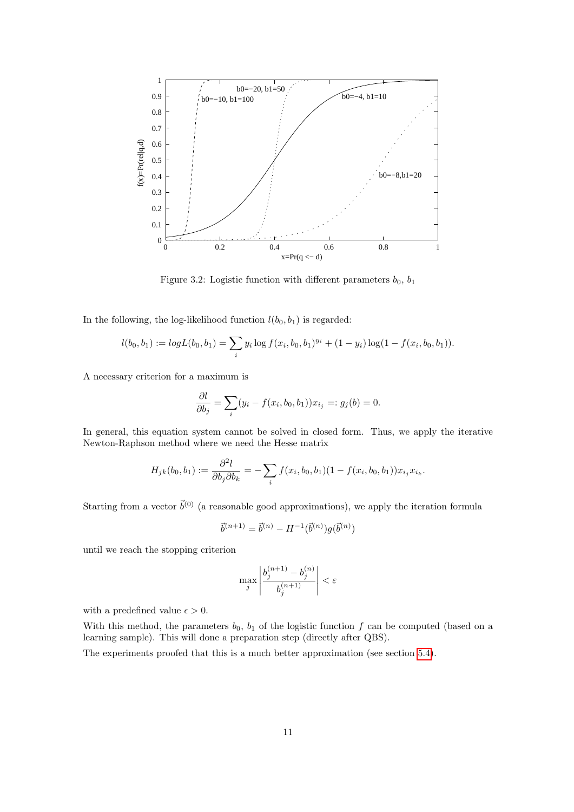

<span id="page-12-0"></span>Figure 3.2: Logistic function with different parameters  $b_0$ ,  $b_1$ 

In the following, the log-likelihood function  $l(b_0, b_1)$  is regarded:

$$
l(b_0, b_1) := log L(b_0, b_1) = \sum_i y_i \log f(x_i, b_0, b_1)^{y_i} + (1 - y_i) \log(1 - f(x_i, b_0, b_1)).
$$

A necessary criterion for a maximum is

$$
\frac{\partial l}{\partial b_j} = \sum_i (y_i - f(x_i, b_0, b_1)) x_{i_j} =: g_j(b) = 0.
$$

In general, this equation system cannot be solved in closed form. Thus, we apply the iterative Newton-Raphson method where we need the Hesse matrix

$$
H_{jk}(b_0, b_1) := \frac{\partial^2 l}{\partial b_j \partial b_k} = -\sum_i f(x_i, b_0, b_1) (1 - f(x_i, b_0, b_1)) x_{i_j} x_{i_k}.
$$

Starting from a vector  $\vec{b}^{(0)}$  (a reasonable good approximations), we apply the iteration formula

$$
\vec{b}^{(n+1)} = \vec{b}^{(n)} - H^{-1}(\vec{b}^{(n)})g(\vec{b}^{(n)})
$$

until we reach the stopping criterion

$$
\max_j \left| \frac{b_j^{(n+1)} - b_j^{(n)}}{b_j^{(n+1)}} \right| < \varepsilon
$$

with a predefined value  $\epsilon > 0$ .

With this method, the parameters  $b_0$ ,  $b_1$  of the logistic function f can be computed (based on a learning sample). This will done a preparation step (directly after QBS).

The experiments proofed that this is a much better approximation (see section [5.4\)](#page-23-0).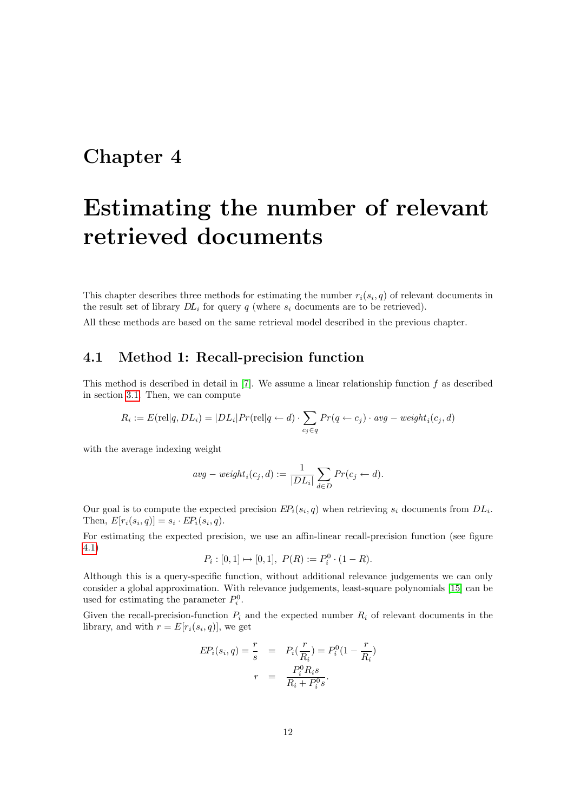# <span id="page-13-0"></span>Estimating the number of relevant retrieved documents

This chapter describes three methods for estimating the number  $r_i(s_i, q)$  of relevant documents in the result set of library  $DL_i$  for query q (where  $s_i$  documents are to be retrieved).

All these methods are based on the same retrieval model described in the previous chapter.

### <span id="page-13-1"></span>4.1 Method 1: Recall-precision function

This method is described in detail in  $[7]$ . We assume a linear relationship function f as described in section [3.1.](#page-10-0) Then, we can compute

$$
R_i := E(\text{rel}|q, DL_i) = |DL_i| Pr(\text{rel}|q \leftarrow d) \cdot \sum_{c_j \in q} Pr(q \leftarrow c_j) \cdot avg - weight_i(c_j, d)
$$

with the average indexing weight

$$
avg - weight_i(c_j, d) := \frac{1}{|DL_i|} \sum_{d \in D} Pr(c_j \leftarrow d).
$$

Our goal is to compute the expected precision  $EP_i(s_i, q)$  when retrieving  $s_i$  documents from  $DL_i$ . Then,  $E[r_i(s_i, q)] = s_i \cdot EP_i(s_i, q)$ .

For estimating the expected precision, we use an affin-linear recall-precision function (see figure [4.1\)](#page-14-1)

$$
P_i : [0,1] \mapsto [0,1], \ P(R) := P_i^0 \cdot (1 - R).
$$

Although this is a query-specific function, without additional relevance judgements we can only consider a global approximation. With relevance judgements, least-square polynomials [\[15\]](#page-41-4) can be used for estimating the parameter  $P_i^0$ .

Given the recall-precision-function  $P_i$  and the expected number  $R_i$  of relevant documents in the library, and with  $r = E[r_i(s_i, q)]$ , we get

$$
EP_i(s_i, q) = \frac{r}{s} = P_i(\frac{r}{R_i}) = P_i^0(1 - \frac{r}{R_i})
$$

$$
r = \frac{P_i^0 R_i s}{R_i + P_i^0 s}.
$$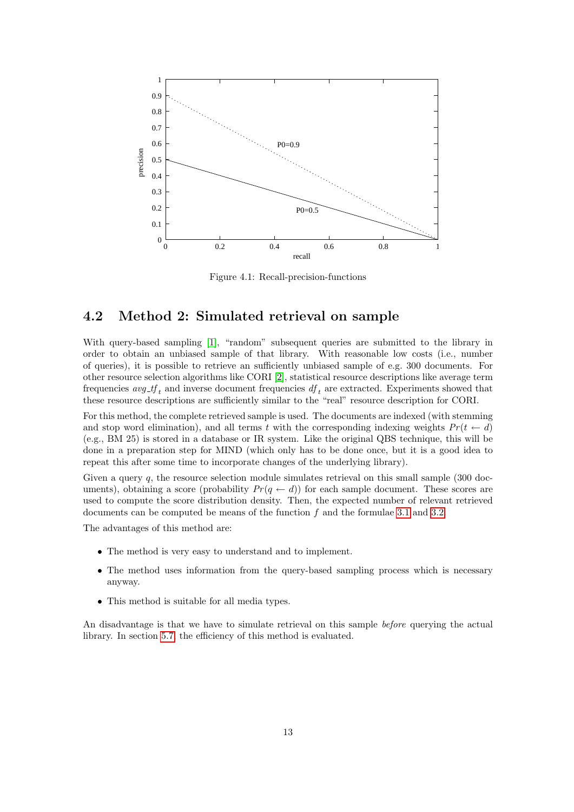

<span id="page-14-1"></span>Figure 4.1: Recall-precision-functions

### <span id="page-14-0"></span>4.2 Method 2: Simulated retrieval on sample

With query-based sampling [\[1\]](#page-40-9), "random" subsequent queries are submitted to the library in order to obtain an unbiased sample of that library. With reasonable low costs (i.e., number of queries), it is possible to retrieve an sufficiently unbiased sample of e.g. 300 documents. For other resource selection algorithms like CORI [\[2\]](#page-40-3), statistical resource descriptions like average term frequencies  $avg\_tf_t$  and inverse document frequencies  $df_t$  are extracted. Experiments showed that these resource descriptions are sufficiently similar to the "real" resource description for CORI.

For this method, the complete retrieved sample is used. The documents are indexed (with stemming and stop word elimination), and all terms t with the corresponding indexing weights  $Pr(t \leftarrow d)$ (e.g., BM 25) is stored in a database or IR system. Like the original QBS technique, this will be done in a preparation step for MIND (which only has to be done once, but it is a good idea to repeat this after some time to incorporate changes of the underlying library).

Given a query q, the resource selection module simulates retrieval on this small sample (300 documents), obtaining a score (probability  $Pr(q \leftarrow d)$ ) for each sample document. These scores are used to compute the score distribution density. Then, the expected number of relevant retrieved documents can be computed be means of the function  $f$  and the formulae [3.1](#page-9-1) and [3.2.](#page-9-2)

The advantages of this method are:

- The method is very easy to understand and to implement.
- The method uses information from the query-based sampling process which is necessary anyway.
- This method is suitable for all media types.

An disadvantage is that we have to simulate retrieval on this sample before querying the actual library. In section [5.7,](#page-24-1) the efficiency of this method is evaluated.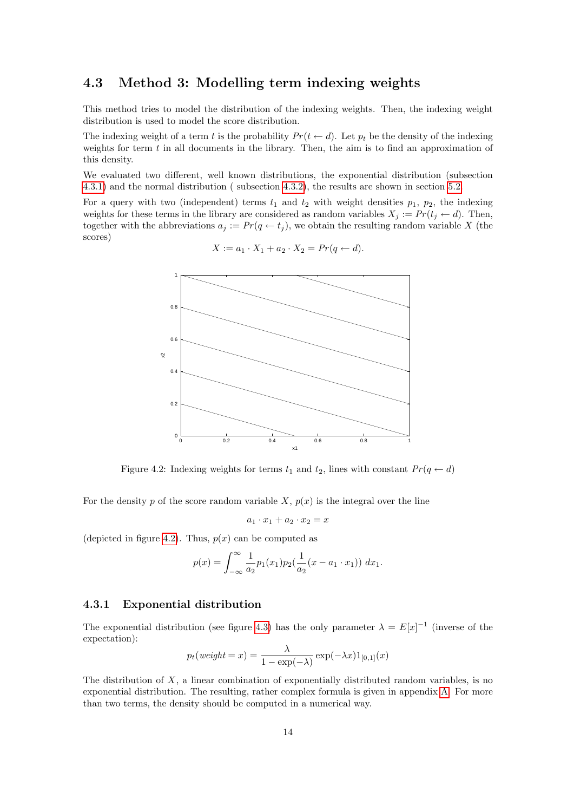### <span id="page-15-0"></span>4.3 Method 3: Modelling term indexing weights

This method tries to model the distribution of the indexing weights. Then, the indexing weight distribution is used to model the score distribution.

The indexing weight of a term t is the probability  $Pr(t \leftarrow d)$ . Let  $p_t$  be the density of the indexing weights for term  $t$  in all documents in the library. Then, the aim is to find an approximation of this density.

We evaluated two different, well known distributions, the exponential distribution (subsection [4.3.1\)](#page-15-1) and the normal distribution ( subsection [4.3.2\)](#page-16-0), the results are shown in section [5.2.](#page-19-0)

For a query with two (independent) terms  $t_1$  and  $t_2$  with weight densities  $p_1$ ,  $p_2$ , the indexing weights for these terms in the library are considered as random variables  $X_j := Pr(t_j \leftarrow d)$ . Then, together with the abbreviations  $a_j := Pr(q \leftarrow t_j)$ , we obtain the resulting random variable X (the scores)

$$
\begin{array}{|c|c|}\n\hline\n\text{a.} & \text{b.} \\
\hline\n\text{b.} & \text{c.} \\
\hline\n\text{c.} & \text{d.} \\
\hline\n\text{d.} & \text{d.} \\
\hline\n\text{d.} & \text{d.} \\
\hline\n\text{d.} & \text{d.} \\
\hline\n\text{d.} & \text{d.} \\
\hline\n\text{d.} & \text{d.} \\
\hline\n\text{d.} & \text{d.} \\
\hline\n\text{d.} & \text{d.} \\
\hline\n\text{d.} & \text{d.} \\
\hline\n\text{d.} & \text{d.} \\
\hline\n\text{d.} & \text{d.} \\
\hline\n\text{d.} & \text{d.} \\
\hline\n\text{d.} & \text{d.} \\
\hline\n\text{d.} & \text{d.} \\
\hline\n\text{d.} & \text{d.} \\
\hline\n\text{d.} & \text{d.} \\
\hline\n\text{d.} & \text{d.} \\
\hline\n\text{d.} & \text{d.} \\
\hline\n\text{d.} & \text{d.} \\
\hline\n\text{d.} & \text{d.} \\
\hline\n\text{d.} & \text{d.} \\
\hline\n\text{d.} & \text{d.} \\
\hline\n\text{d.} & \text{d.} \\
\hline\n\text{d.} & \text{d.} \\
\hline\n\text{d.} & \text{d.} \\
\hline\n\text{d.} & \text{d.} \\
\hline\n\text{d.} & \text{d.} \\
\hline\n\text{d.} & \text{d.} \\
\hline\n\text{d.} & \text{d.} \\
\hline\n\text{d.} & \text{d.} \\
\hline\n\text{d.} & \text{d.} \\
\hline\n\text{d.} & \text{d.} \\
\hline\n\text{d.} & \text{d.} \\
\hline\n\text{d.} & \text{d.} \\
\hline\n\text{d.} & \text{d.} \\
\hline\n\text{d.} & \text{d.} \\
\hline\n\text{d.} & \text{d.} \\
\hline\n\text{d.} & \text{d.} \\
\hline\n\text{d.} & \text{d.} \\
\hline\n\text{d.}
$$

$$
X := a_1 \cdot X_1 + a_2 \cdot X_2 = Pr(q \leftarrow d).
$$

<span id="page-15-2"></span>Figure 4.2: Indexing weights for terms  $t_1$  and  $t_2$ , lines with constant  $Pr(q \leftarrow d)$ 

For the density p of the score random variable  $X, p(x)$  is the integral over the line

$$
a_1 \cdot x_1 + a_2 \cdot x_2 = x
$$

(depicted in figure [4.2\)](#page-15-2). Thus,  $p(x)$  can be computed as

$$
p(x) = \int_{-\infty}^{\infty} \frac{1}{a_2} p_1(x_1) p_2(\frac{1}{a_2}(x - a_1 \cdot x_1)) dx_1.
$$

#### <span id="page-15-1"></span>4.3.1 Exponential distribution

The exponential distribution (see figure [4.3\)](#page-16-1) has the only parameter  $\lambda = E[x]^{-1}$  (inverse of the expectation):

$$
p_t(weight = x) = \frac{\lambda}{1 - \exp(-\lambda)} \exp(-\lambda x) 1_{[0,1]}(x)
$$

The distribution of  $X$ , a linear combination of exponentially distributed random variables, is no exponential distribution. The resulting, rather complex formula is given in appendix [A.](#page-37-0) For more than two terms, the density should be computed in a numerical way.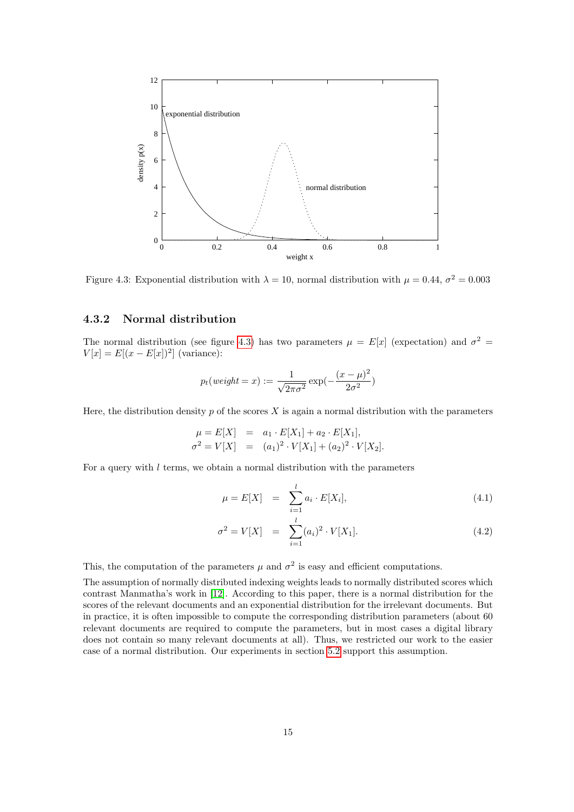

<span id="page-16-1"></span>Figure 4.3: Exponential distribution with  $\lambda = 10$ , normal distribution with  $\mu = 0.44$ ,  $\sigma^2 = 0.003$ 

#### <span id="page-16-0"></span>4.3.2 Normal distribution

The normal distribution (see figure [4.3\)](#page-16-1) has two parameters  $\mu = E[x]$  (expectation) and  $\sigma^2 =$  $V[x] = E[(x - E[x])^2]$  (variance):

$$
p_t(weight = x) := \frac{1}{\sqrt{2\pi\sigma^2}} \exp(-\frac{(x-\mu)^2}{2\sigma^2})
$$

Here, the distribution density  $p$  of the scores  $X$  is again a normal distribution with the parameters

$$
\mu = E[X] = a_1 \cdot E[X_1] + a_2 \cdot E[X_1],
$$
  
\n
$$
\sigma^2 = V[X] = (a_1)^2 \cdot V[X_1] + (a_2)^2 \cdot V[X_2].
$$

For a query with  $l$  terms, we obtain a normal distribution with the parameters

<span id="page-16-2"></span>
$$
\mu = E[X] = \sum_{i=1}^{l} a_i \cdot E[X_i], \qquad (4.1)
$$

$$
\sigma^2 = V[X] = \sum_{i=1}^{l} (a_i)^2 \cdot V[X_1]. \tag{4.2}
$$

This, the computation of the parameters  $\mu$  and  $\sigma^2$  is easy and efficient computations.

The assumption of normally distributed indexing weights leads to normally distributed scores which contrast Manmatha's work in [\[12\]](#page-40-10). According to this paper, there is a normal distribution for the scores of the relevant documents and an exponential distribution for the irrelevant documents. But in practice, it is often impossible to compute the corresponding distribution parameters (about 60 relevant documents are required to compute the parameters, but in most cases a digital library does not contain so many relevant documents at all). Thus, we restricted our work to the easier case of a normal distribution. Our experiments in section [5.2](#page-19-0) support this assumption.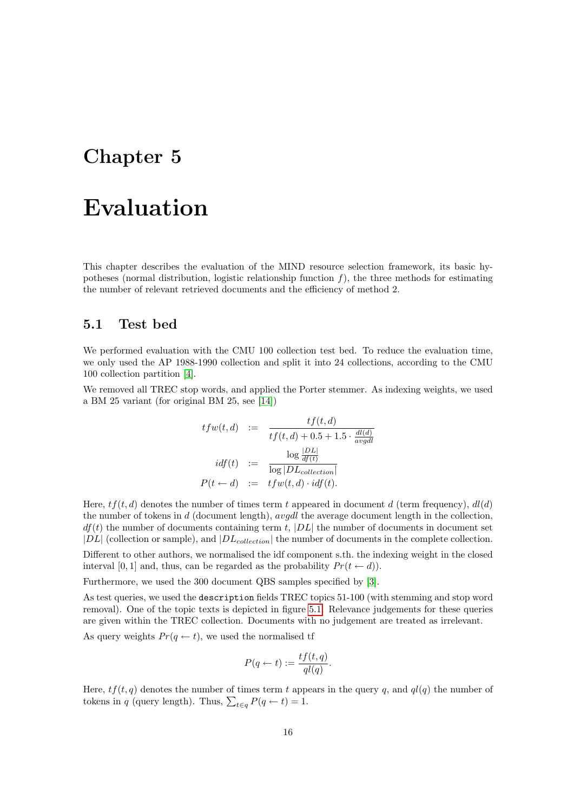## <span id="page-17-0"></span>Evaluation

This chapter describes the evaluation of the MIND resource selection framework, its basic hypotheses (normal distribution, logistic relationship function  $f$ ), the three methods for estimating the number of relevant retrieved documents and the efficiency of method 2.

#### <span id="page-17-1"></span>5.1 Test bed

We performed evaluation with the CMU 100 collection test bed. To reduce the evaluation time, we only used the AP 1988-1990 collection and split it into 24 collections, according to the CMU 100 collection partition [\[4\]](#page-40-11).

We removed all TREC stop words, and applied the Porter stemmer. As indexing weights, we used a BM 25 variant (for original BM 25, see [\[14\]](#page-41-3))

$$
tfw(t, d) := \frac{tf(t, d)}{tf(t, d) + 0.5 + 1.5 \cdot \frac{dl(d)}{avgdl}}
$$

$$
idf(t) := \frac{\log \frac{|DL|}{df(t)}}{\log |DL_{collection}|}
$$

$$
P(t \leftarrow d) := tfw(t, d) \cdot idf(t).
$$

Here,  $tf(t, d)$  denotes the number of times term t appeared in document d (term frequency),  $dl(d)$ the number of tokens in d (document length), avgdl the average document length in the collection,  $df(t)$  the number of documents containing term t,  $|DL|$  the number of documents in document set  $|DL|$  (collection or sample), and  $|DL_{collection}|$  the number of documents in the complete collection.

Different to other authors, we normalised the idf component s.th. the indexing weight in the closed interval [0, 1] and, thus, can be regarded as the probability  $Pr(t \leftarrow d)$ ).

Furthermore, we used the 300 document QBS samples specified by [\[3\]](#page-40-12).

As test queries, we used the description fields TREC topics 51-100 (with stemming and stop word removal). One of the topic texts is depicted in figure [5.1.](#page-18-0) Relevance judgements for these queries are given within the TREC collection. Documents with no judgement are treated as irrelevant.

As query weights  $Pr(q \leftarrow t)$ , we used the normalised tf

$$
P(q \leftarrow t) := \frac{tf(t, q)}{q l(q)}.
$$

Here,  $tf(t, q)$  denotes the number of times term t appears in the query q, and  $ql(q)$  the number of tokens in q (query length). Thus,  $\sum_{t \in q} P(q \leftarrow t) = 1$ .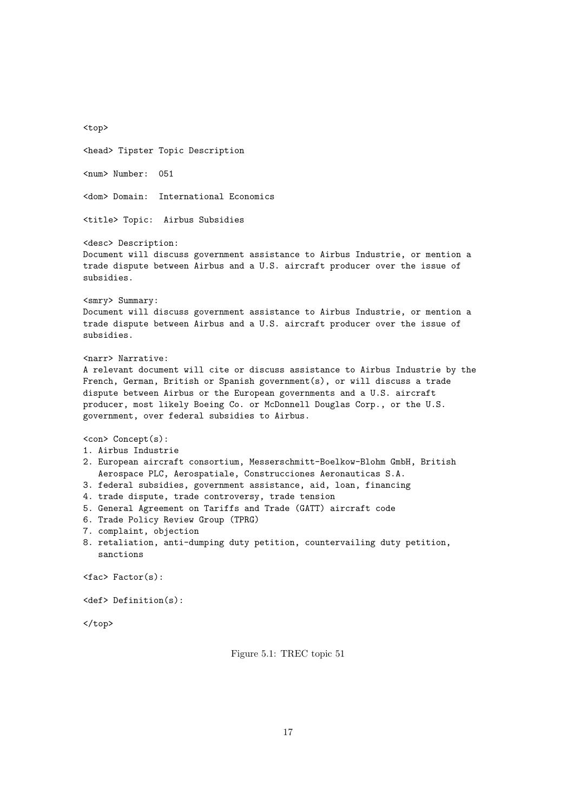<top> <head> Tipster Topic Description <num> Number: 051 <dom> Domain: International Economics <title> Topic: Airbus Subsidies <desc> Description: Document will discuss government assistance to Airbus Industrie, or mention a trade dispute between Airbus and a U.S. aircraft producer over the issue of subsidies. <smry> Summary: Document will discuss government assistance to Airbus Industrie, or mention a trade dispute between Airbus and a U.S. aircraft producer over the issue of subsidies. <narr> Narrative: A relevant document will cite or discuss assistance to Airbus Industrie by the French, German, British or Spanish government(s), or will discuss a trade dispute between Airbus or the European governments and a U.S. aircraft producer, most likely Boeing Co. or McDonnell Douglas Corp., or the U.S. government, over federal subsidies to Airbus. <con> Concept(s): 1. Airbus Industrie 2. European aircraft consortium, Messerschmitt-Boelkow-Blohm GmbH, British Aerospace PLC, Aerospatiale, Construcciones Aeronauticas S.A. 3. federal subsidies, government assistance, aid, loan, financing 4. trade dispute, trade controversy, trade tension 5. General Agreement on Tariffs and Trade (GATT) aircraft code 6. Trade Policy Review Group (TPRG) 7. complaint, objection 8. retaliation, anti-dumping duty petition, countervailing duty petition, sanctions  $\langle$ fac $\rangle$  Factor $(s)$ : <def> Definition(s):

</top>

<span id="page-18-0"></span>Figure 5.1: TREC topic 51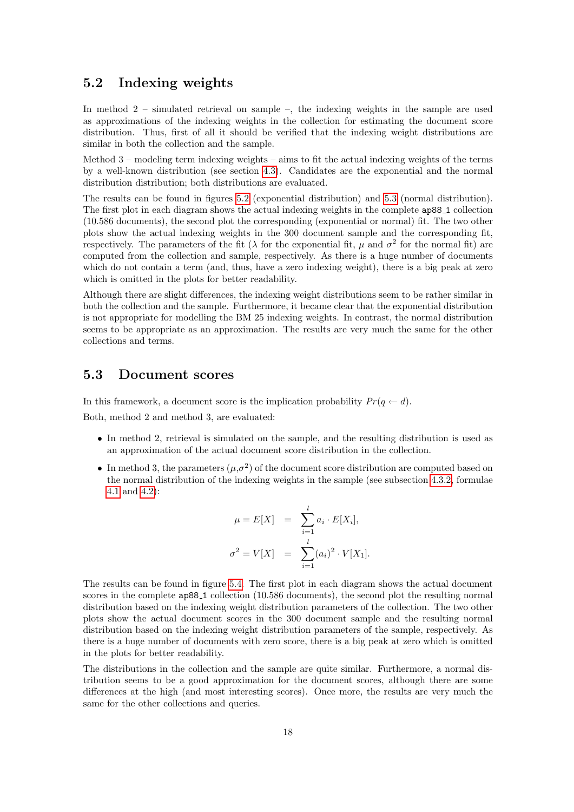### <span id="page-19-0"></span>5.2 Indexing weights

In method 2 – simulated retrieval on sample –, the indexing weights in the sample are used as approximations of the indexing weights in the collection for estimating the document score distribution. Thus, first of all it should be verified that the indexing weight distributions are similar in both the collection and the sample.

Method  $3$  – modeling term indexing weights – aims to fit the actual indexing weights of the terms by a well-known distribution (see section [4.3\)](#page-15-0). Candidates are the exponential and the normal distribution distribution; both distributions are evaluated.

The results can be found in figures [5.2](#page-20-0) (exponential distribution) and [5.3](#page-21-0) (normal distribution). The first plot in each diagram shows the actual indexing weights in the complete ap88 1 collection (10.586 documents), the second plot the corresponding (exponential or normal) fit. The two other plots show the actual indexing weights in the 300 document sample and the corresponding fit, respectively. The parameters of the fit ( $\lambda$  for the exponential fit,  $\mu$  and  $\sigma^2$  for the normal fit) are computed from the collection and sample, respectively. As there is a huge number of documents which do not contain a term (and, thus, have a zero indexing weight), there is a big peak at zero which is omitted in the plots for better readability.

Although there are slight differences, the indexing weight distributions seem to be rather similar in both the collection and the sample. Furthermore, it became clear that the exponential distribution is not appropriate for modelling the BM 25 indexing weights. In contrast, the normal distribution seems to be appropriate as an approximation. The results are very much the same for the other collections and terms.

#### <span id="page-19-1"></span>5.3 Document scores

In this framework, a document score is the implication probability  $Pr(q \leftarrow d)$ . Both, method 2 and method 3, are evaluated:

- In method 2, retrieval is simulated on the sample, and the resulting distribution is used as an approximation of the actual document score distribution in the collection.
- In method 3, the parameters  $(\mu, \sigma^2)$  of the document score distribution are computed based on the normal distribution of the indexing weights in the sample (see subsection [4.3.2,](#page-16-0) formulae [4.1](#page-16-2) and [4.2\)](#page-16-2):

$$
\mu = E[X] = \sum_{i=1}^{l} a_i \cdot E[X_i],
$$
  

$$
\sigma^2 = V[X] = \sum_{i=1}^{l} (a_i)^2 \cdot V[X_1].
$$

The results can be found in figure [5.4.](#page-22-0) The first plot in each diagram shows the actual document scores in the complete ap88.1 collection (10.586 documents), the second plot the resulting normal distribution based on the indexing weight distribution parameters of the collection. The two other plots show the actual document scores in the 300 document sample and the resulting normal distribution based on the indexing weight distribution parameters of the sample, respectively. As there is a huge number of documents with zero score, there is a big peak at zero which is omitted in the plots for better readability.

The distributions in the collection and the sample are quite similar. Furthermore, a normal distribution seems to be a good approximation for the document scores, although there are some differences at the high (and most interesting scores). Once more, the results are very much the same for the other collections and queries.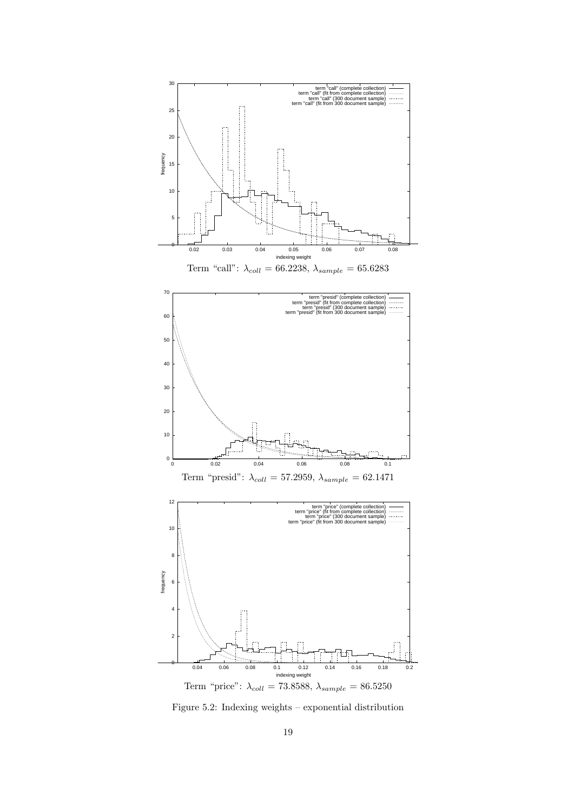

<span id="page-20-0"></span>Figure 5.2: Indexing weights – exponential distribution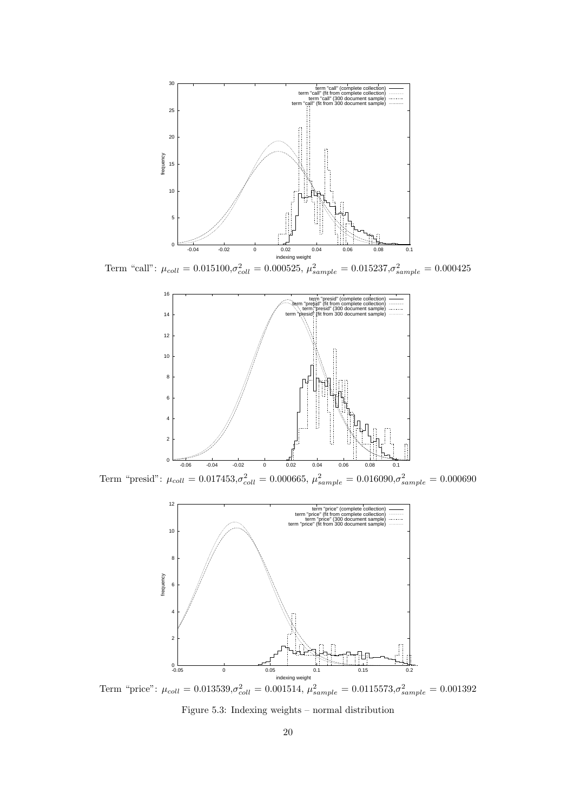

Term "call":  $\mu_{coll} = 0.015100, \sigma_{coll}^2 = 0.000525, \ \mu_{sample}^2 = 0.015237, \sigma_{sample}^2 = 0.000425$ 



Term "presid":  $\mu_{coll} = 0.017453, \sigma_{coll}^2 = 0.000665, \mu_{sample}^2 = 0.016090, \sigma_{sample}^2 = 0.000690$ 



Term "price":  $\mu_{coll} = 0.013539, \sigma_{coll}^2 = 0.001514, \ \mu_{sample}^2 = 0.0115573, \sigma_{sample}^2 = 0.001392$ 

<span id="page-21-0"></span>Figure 5.3: Indexing weights – normal distribution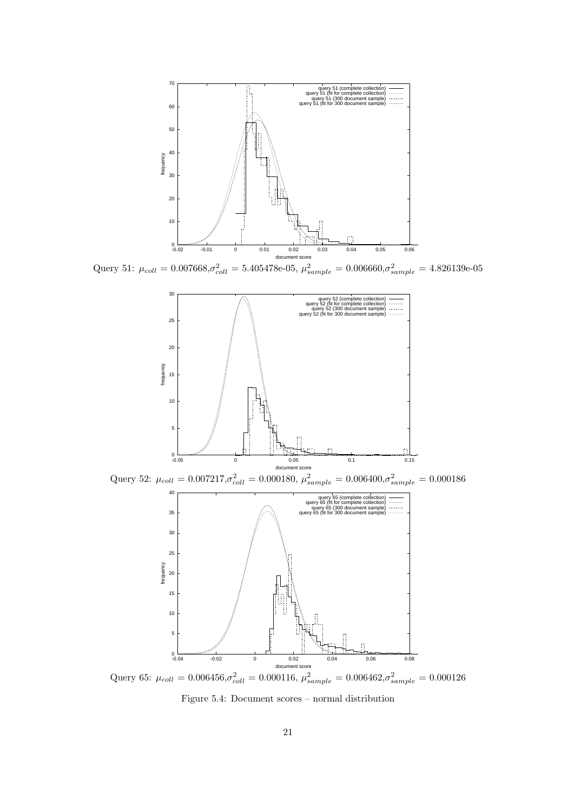

Query 51:  $\mu_{coll} = 0.007668, \sigma_{coll}^2 = 5.405478e-05, \mu_{sample}^2 = 0.006660, \sigma_{sample}^2 = 4.826139e-05$ 



Query 65:  $\mu_{coll} = 0.006456, \sigma_{coll}^2 = 0.000116, \mu_{sample}^2 = 0.006462, \sigma_{sample}^2 = 0.000126$ 

<span id="page-22-0"></span>Figure 5.4: Document scores – normal distribution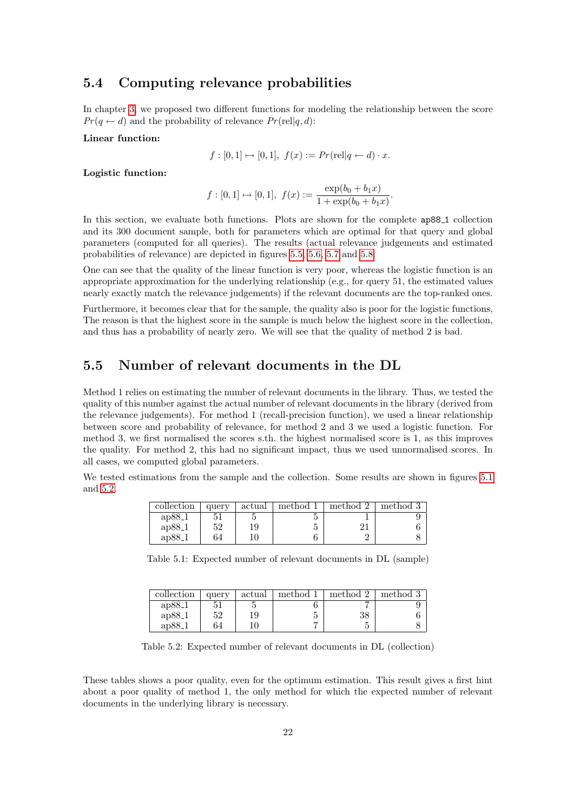### <span id="page-23-0"></span>5.4 Computing relevance probabilities

In chapter [3,](#page-9-0) we proposed two different functions for modeling the relationship between the score  $Pr(q \leftarrow d)$  and the probability of relevance  $Pr(\text{rel}|q, d)$ :

Linear function:

$$
f: [0,1] \mapsto [0,1], \ f(x) := Pr(\text{rel}|q \leftarrow d) \cdot x.
$$

Logistic function:

$$
f: [0,1] \mapsto [0,1],
$$
  $f(x) := \frac{\exp(b_0 + b_1 x)}{1 + \exp(b_0 + b_1 x)}$ .

In this section, we evaluate both functions. Plots are shown for the complete ap88 1 collection and its 300 document sample, both for parameters which are optimal for that query and global parameters (computed for all queries). The results (actual relevance judgements and estimated probabilities of relevance) are depicted in figures [5.5,](#page-25-0) [5.6,](#page-26-0) [5.7](#page-27-0) and [5.8.](#page-28-0)

One can see that the quality of the linear function is very poor, whereas the logistic function is an appropriate approximation for the underlying relationship (e.g., for query 51, the estimated values nearly exactly match the relevance judgements) if the relevant documents are the top-ranked ones.

Furthermore, it becomes clear that for the sample, the quality also is poor for the logistic functions, The reason is that the highest score in the sample is much below the highest score in the collection, and thus has a probability of nearly zero. We will see that the quality of method 2 is bad.

### <span id="page-23-1"></span>5.5 Number of relevant documents in the DL

Method 1 relies on estimating the number of relevant documents in the library. Thus, we tested the quality of this number against the actual number of relevant documents in the library (derived from the relevance judgements). For method 1 (recall-precision function), we used a linear relationship between score and probability of relevance, for method 2 and 3 we used a logistic function. For method 3, we first normalised the scores s.th. the highest normalised score is 1, as this improves the quality. For method 2, this had no significant impact, thus we used unnormalised scores. In all cases, we computed global parameters.

We tested estimations from the sample and the collection. Some results are shown in figures [5.1](#page-23-2) and [5.2.](#page-23-3)

| collection | query | actual | method 1 | method 2 | method 3 |
|------------|-------|--------|----------|----------|----------|
| $ap88-1$   | $-51$ |        |          |          |          |
| ap88.1     | 52    | 19     |          |          |          |
| $ap88-1$   | 64    | 10     |          |          |          |

<span id="page-23-2"></span>Table 5.1: Expected number of relevant documents in DL (sample)

| collection | query | actual | method 1 | method 2 | method 3 |
|------------|-------|--------|----------|----------|----------|
| $ap88-1$   |       |        |          |          |          |
| $ap88-1$   | 52    | 19     |          | 38       |          |
| $ap88-1$   | 64    | 10     |          |          |          |

<span id="page-23-3"></span>Table 5.2: Expected number of relevant documents in DL (collection)

These tables shows a poor quality, even for the optimum estimation. This result gives a first hint about a poor quality of method 1, the only method for which the expected number of relevant documents in the underlying library is necessary.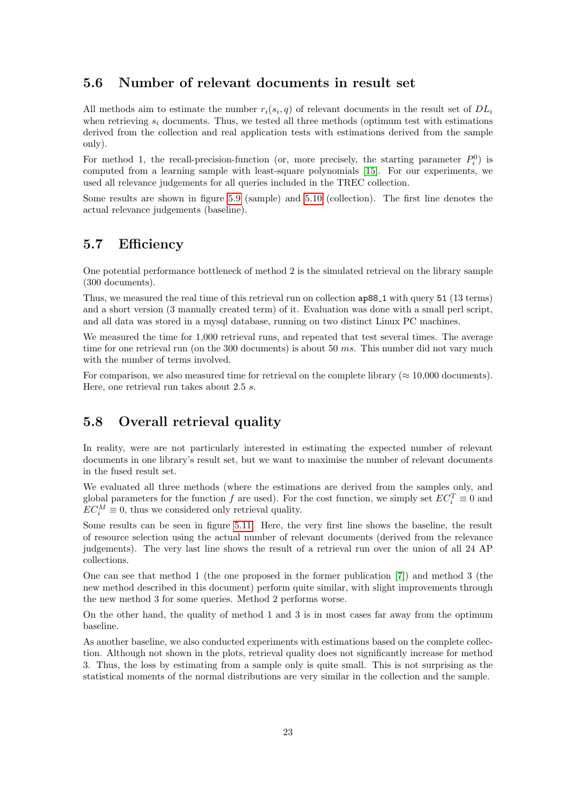#### <span id="page-24-0"></span>5.6 Number of relevant documents in result set

All methods aim to estimate the number  $r_i(s_i, q)$  of relevant documents in the result set of  $DL_i$ when retrieving  $s_i$  documents. Thus, we tested all three methods (optimum test with estimations derived from the collection and real application tests with estimations derived from the sample only).

For method 1, the recall-precision-function (or, more precisely, the starting parameter  $P_i^0$ ) is computed from a learning sample with least-square polynomials [\[15\]](#page-41-4). For our experiments, we used all relevance judgements for all queries included in the TREC collection.

Some results are shown in figure [5.9](#page-29-0) (sample) and [5.10](#page-30-0) (collection). The first line denotes the actual relevance judgements (baseline).

#### <span id="page-24-1"></span>5.7 Efficiency

One potential performance bottleneck of method 2 is the simulated retrieval on the library sample (300 documents).

Thus, we measured the real time of this retrieval run on collection  $ap88\text{--}1$  with query 51 (13 terms) and a short version (3 manually created term) of it. Evaluation was done with a small perl script, and all data was stored in a mysql database, running on two distinct Linux PC machines.

We measured the time for 1,000 retrieval runs, and repeated that test several times. The average time for one retrieval run (on the 300 documents) is about 50  $ms$ . This number did not vary much with the number of terms involved.

For comparison, we also measured time for retrieval on the complete library ( $\approx 10,000$  documents). Here, one retrieval run takes about 2.5 s.

### <span id="page-24-2"></span>5.8 Overall retrieval quality

In reality, were are not particularly interested in estimating the expected number of relevant documents in one library's result set, but we want to maximise the number of relevant documents in the fused result set.

We evaluated all three methods (where the estimations are derived from the samples only, and global parameters for the function f are used). For the cost function, we simply set  $EC_i^T \equiv 0$  and  $EC_i^M \equiv 0$ , thus we considered only retrieval quality.

Some results can be seen in figure [5.11.](#page-31-0) Here, the very first line shows the baseline, the result of resource selection using the actual number of relevant documents (derived from the relevance judgements). The very last line shows the result of a retrieval run over the union of all 24 AP collections.

One can see that method 1 (the one proposed in the former publication [\[7\]](#page-40-4)) and method 3 (the new method described in this document) perform quite similar, with slight improvements through the new method 3 for some queries. Method 2 performs worse.

On the other hand, the quality of method 1 and 3 is in most cases far away from the optimum baseline.

As another baseline, we also conducted experiments with estimations based on the complete collection. Although not shown in the plots, retrieval quality does not significantly increase for method 3. Thus, the loss by estimating from a sample only is quite small. This is not surprising as the statistical moments of the normal distributions are very similar in the collection and the sample.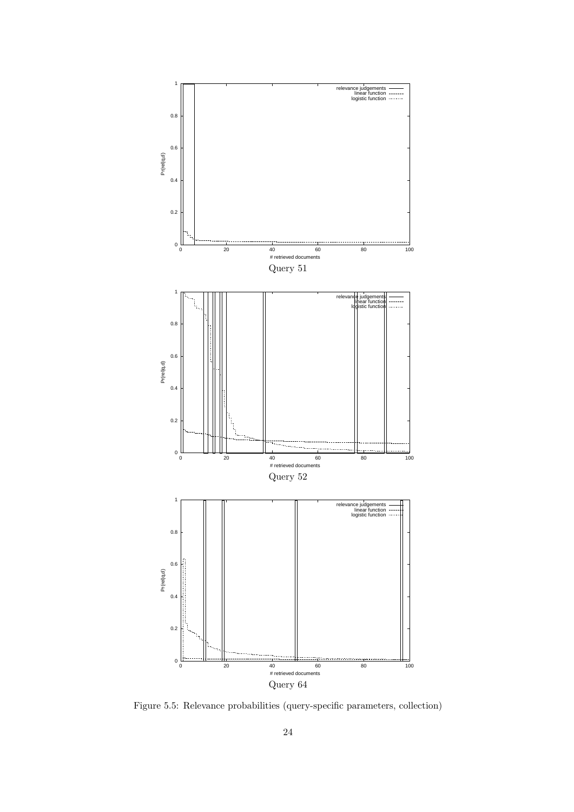

<span id="page-25-0"></span>Figure 5.5: Relevance probabilities (query-specific parameters, collection)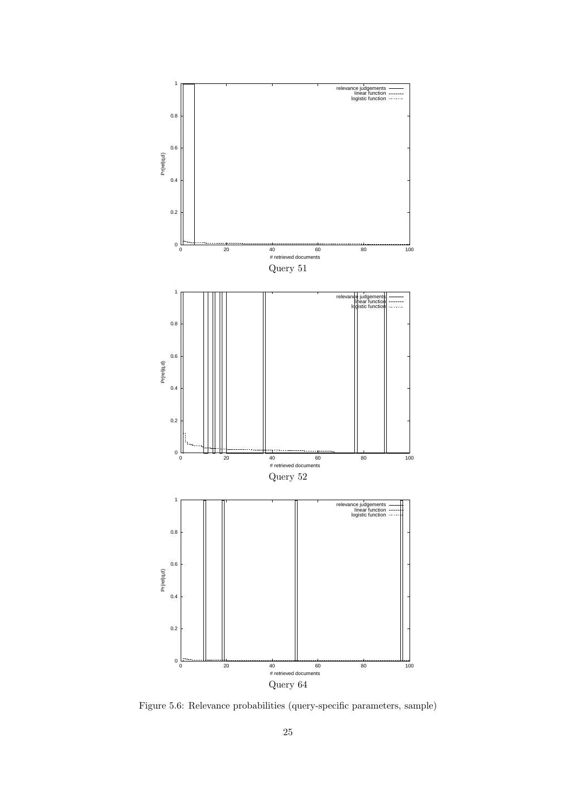

<span id="page-26-0"></span>Figure 5.6: Relevance probabilities (query-specific parameters, sample)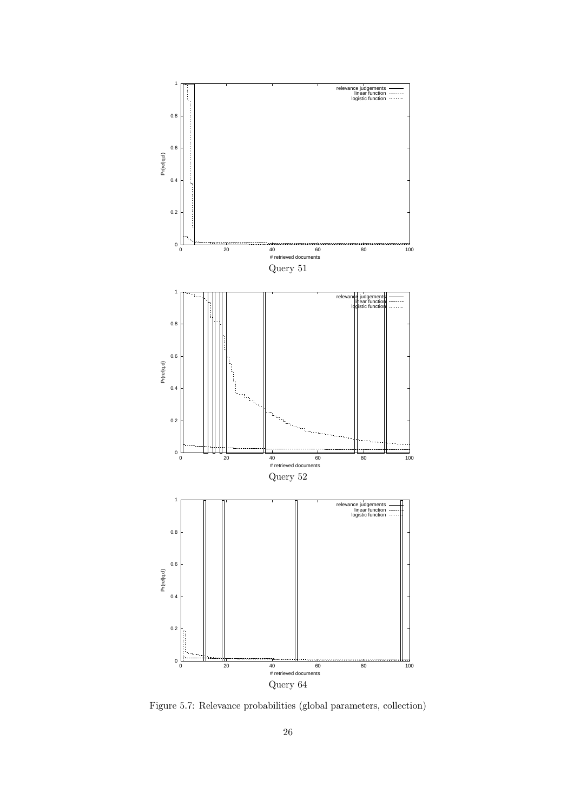

<span id="page-27-0"></span>Figure 5.7: Relevance probabilities (global parameters, collection)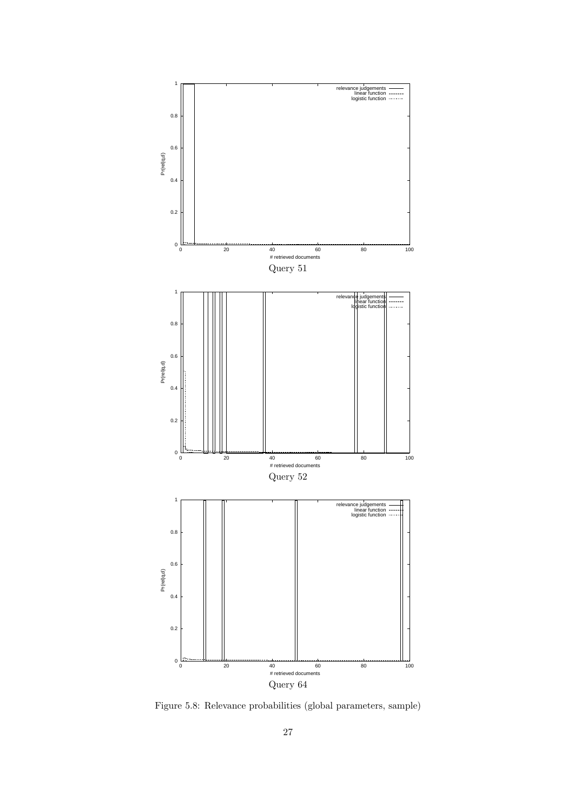

<span id="page-28-0"></span>Figure 5.8: Relevance probabilities (global parameters, sample)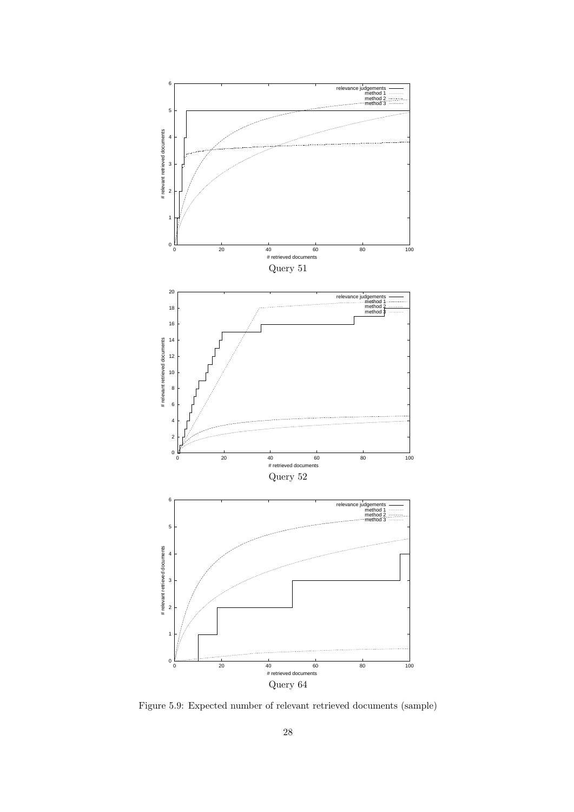

<span id="page-29-0"></span>Figure 5.9: Expected number of relevant retrieved documents (sample)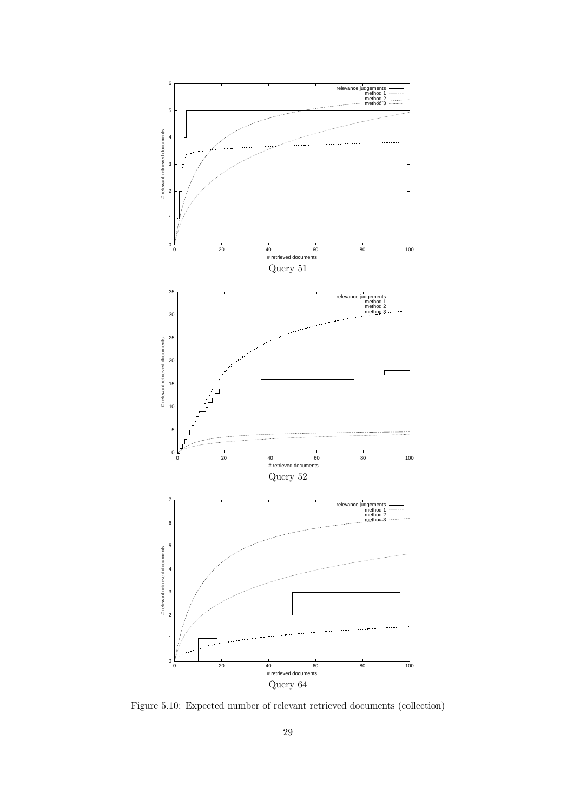

<span id="page-30-0"></span>Figure 5.10: Expected number of relevant retrieved documents (collection)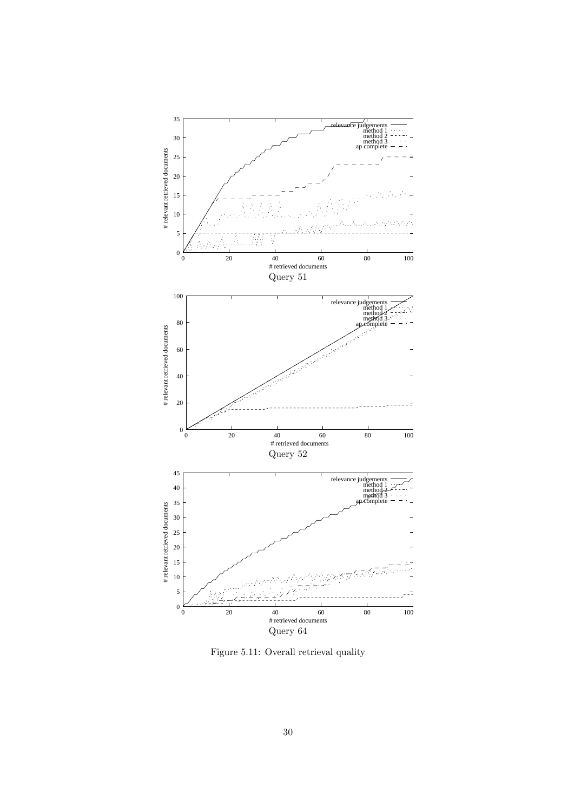

<span id="page-31-0"></span>Figure 5.11: Overall retrieval quality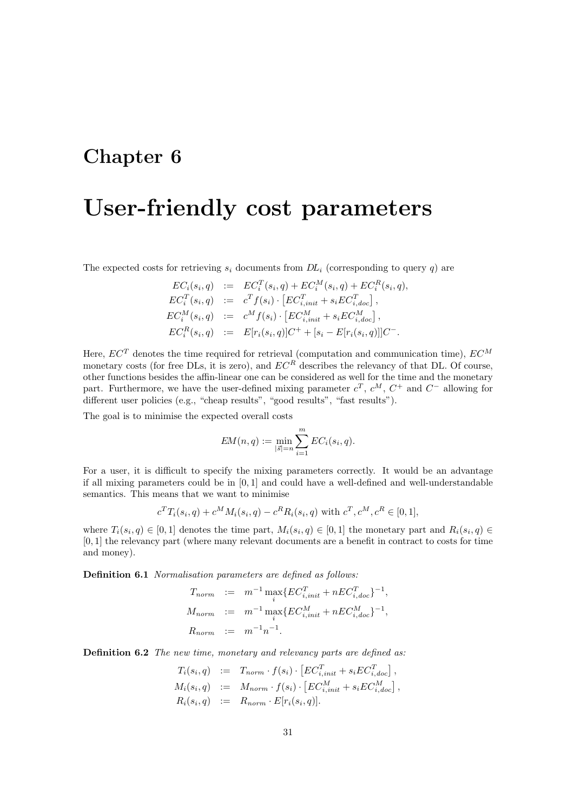## <span id="page-32-0"></span>User-friendly cost parameters

The expected costs for retrieving  $s_i$  documents from  $DL_i$  (corresponding to query q) are

$$
EC_i(s_i, q) := EC_i^T(s_i, q) + EC_i^M(s_i, q) + EC_i^R(s_i, q),
$$
  
\n
$$
EC_i^T(s_i, q) := c^T f(s_i) \cdot [EC_{i,init}^T + s_i EC_{i, doc}^T],
$$
  
\n
$$
EC_i^M(s_i, q) := c^M f(s_i) \cdot [EC_{i,init}^M + s_i EC_{i, doc}^M],
$$
  
\n
$$
EC_i^R(s_i, q) := E[r_i(s_i, q)]C^+ + [s_i - E[r_i(s_i, q)]]C^-.
$$

Here,  $EC^{T}$  denotes the time required for retrieval (computation and communication time),  $EC^{M}$ monetary costs (for free DLs, it is zero), and  $EC^R$  describes the relevancy of that DL. Of course, other functions besides the affin-linear one can be considered as well for the time and the monetary part. Furthermore, we have the user-defined mixing parameter  $c^T$ ,  $c^M$ ,  $C^+$  and  $C^-$  allowing for different user policies (e.g., "cheap results", "good results", "fast results").

The goal is to minimise the expected overall costs

$$
EM(n, q) := \min_{|\vec{s}| = n} \sum_{i=1}^{m} EC_i(s_i, q).
$$

For a user, it is difficult to specify the mixing parameters correctly. It would be an advantage if all mixing parameters could be in [0, 1] and could have a well-defined and well-understandable semantics. This means that we want to minimise

$$
c^T T_i(s_i, q) + c^M M_i(s_i, q) - c^R R_i(s_i, q)
$$
 with  $c^T, c^M, c^R \in [0, 1]$ ,

where  $T_i(s_i, q) \in [0, 1]$  denotes the time part,  $M_i(s_i, q) \in [0, 1]$  the monetary part and  $R_i(s_i, q) \in$ [0, 1] the relevancy part (where many relevant documents are a benefit in contract to costs for time and money).

Definition 6.1 Normalisation parameters are defined as follows:

$$
T_{norm} := m^{-1} \max_{i} \{ EC_{i,init}^T + nEC_{i,doc}^T\}^{-1},
$$
  
\n
$$
M_{norm} := m^{-1} \max_{i} \{ EC_{i,init}^M + nEC_{i,doc}^M\}^{-1},
$$
  
\n
$$
R_{norm} := m^{-1}n^{-1}.
$$

Definition 6.2 The new time, monetary and relevancy parts are defined as:

$$
T_i(s_i, q) := T_{norm} \cdot f(s_i) \cdot [EC_{i,init}^T + s_i EC_{i,doc}^T],
$$
  
\n
$$
M_i(s_i, q) := M_{norm} \cdot f(s_i) \cdot [EC_{i,init}^M + s_i EC_{i,doc}^M],
$$
  
\n
$$
R_i(s_i, q) := R_{norm} \cdot E[r_i(s_i, q)].
$$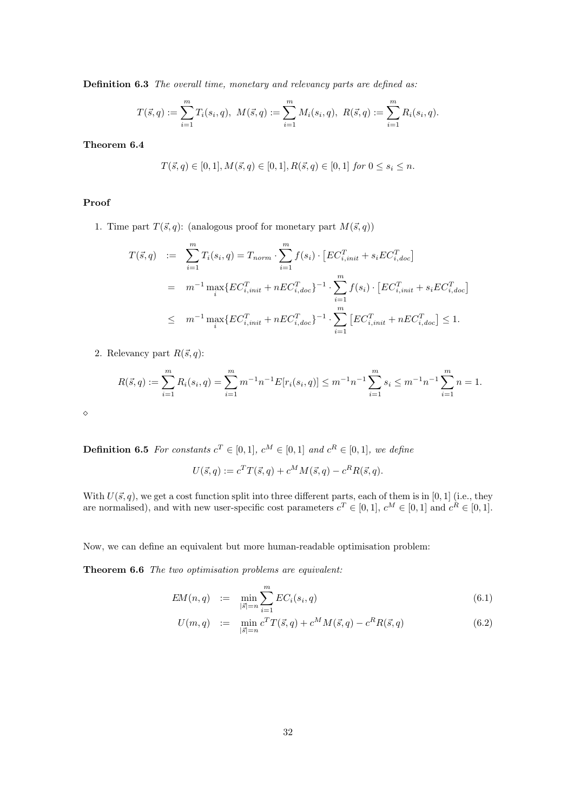Definition 6.3 The overall time, monetary and relevancy parts are defined as:

$$
T(\vec{s},q) := \sum_{i=1}^{m} T_i(s_i,q), \ M(\vec{s},q) := \sum_{i=1}^{m} M_i(s_i,q), \ R(\vec{s},q) := \sum_{i=1}^{m} R_i(s_i,q).
$$

Theorem 6.4

$$
T(\vec{s},q)\in [0,1], M(\vec{s},q)\in [0,1], R(\vec{s},q)\in [0,1] \ for \ 0\leq s_i\leq n.
$$

#### Proof

1. Time part  $T(\vec{s}, q)$ : (analogous proof for monetary part  $M(\vec{s}, q)$ )

$$
T(\vec{s}, q) := \sum_{i=1}^{m} T_i(s_i, q) = T_{norm} \cdot \sum_{i=1}^{m} f(s_i) \cdot [EC_{i,init}^T + s_i EC_{i,doc}^T]
$$
  
=  $m^{-1} \max_i \{ EC_{i,init}^T + nEC_{i,doc}^T\}^{-1} \cdot \sum_{i=1}^{m} f(s_i) \cdot [EC_{i,init}^T + s_i EC_{i,doc}^T]$   
 $\leq m^{-1} \max_i \{ EC_{i,init}^T + nEC_{i,doc}^T\}^{-1} \cdot \sum_{i=1}^{m} [EC_{i,init}^T + nEC_{i,doc}^T] \leq 1.$ 

2. Relevancy part  $R(\vec{s}, q)$ :

$$
R(\vec{s}, q) := \sum_{i=1}^{m} R_i(s_i, q) = \sum_{i=1}^{m} m^{-1} n^{-1} E[r_i(s_i, q)] \leq m^{-1} n^{-1} \sum_{i=1}^{m} s_i \leq m^{-1} n^{-1} \sum_{i=1}^{m} n = 1.
$$

 $\Diamond$ 

**Definition 6.5** For constants  $c^T \in [0,1]$ ,  $c^M \in [0,1]$  and  $c^R \in [0,1]$ , we define

$$
U(\vec{s},q) := c^T T(\vec{s},q) + c^M M(\vec{s},q) - c^R R(\vec{s},q).
$$

With  $U(\vec{s}, q)$ , we get a cost function split into three different parts, each of them is in [0, 1] (i.e., they are normalised), and with new user-specific cost parameters  $c^T \in [0,1]$ ,  $c^M \in [0,1]$  and  $c^R \in [0,1]$ .

Now, we can define an equivalent but more human-readable optimisation problem:

Theorem 6.6 The two optimisation problems are equivalent:

$$
EM(n,q) := \min_{|\vec{s}|=n} \sum_{i=1}^{m} EC_i(s_i, q)
$$
\n(6.1)

<span id="page-33-0"></span>
$$
U(m,q) := \min_{|\vec{s}|=n} c^T T(\vec{s}, q) + c^M M(\vec{s}, q) - c^R R(\vec{s}, q)
$$
\n(6.2)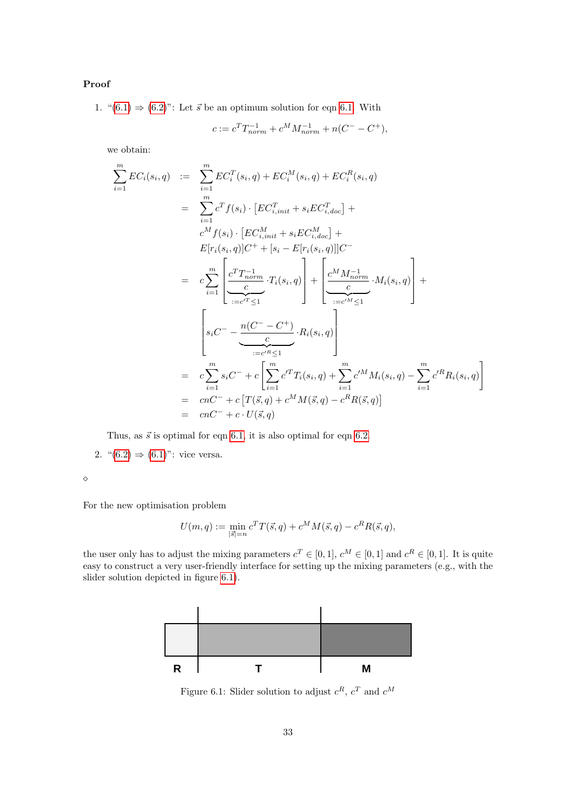#### Proof

1. " $(6.1) \Rightarrow (6.2)$  $(6.1) \Rightarrow (6.2)$  $(6.1) \Rightarrow (6.2)$ ": Let  $\vec{s}$  be an optimum solution for eqn [6.1.](#page-33-0) With

$$
c := c^T T_{norm}^{-1} + c^M M_{norm}^{-1} + n(C^- - C^+),
$$

we obtain:

$$
\sum_{i=1}^{m} EC_{i}(s_{i}, q) \quad := \quad \sum_{i=1}^{m} EC_{i}^{T}(s_{i}, q) + EC_{i}^{M}(s_{i}, q) + EC_{i}^{R}(s_{i}, q)
$$
\n
$$
= \quad \sum_{i=1}^{m} c^{T} f(s_{i}) \cdot [EC_{i,init}^{T} + s_{i} EC_{i,doc}^{T}] +
$$
\n
$$
c^{M} f(s_{i}) \cdot [EC_{i,init}^{M} + s_{i} EC_{i,doc}^{M}] +
$$
\n
$$
E[r_{i}(s_{i}, q)]C^{+} + [s_{i} - E[r_{i}(s_{i}, q)]]C^{-}
$$
\n
$$
= \quad c \sum_{i=1}^{m} \left[ \underbrace{c^{T} T_{norm}^{-1}}_{:=c^{T} \leq 1} \cdot T_{i}(s_{i}, q) \right] + \left[ \underbrace{c^{M} M_{norm}^{-1}}_{:=c^{M} \leq 1} \cdot M_{i}(s_{i}, q) \right] +
$$
\n
$$
\left[ s_{i}C^{-} - \underbrace{m(C^{-} - C^{+})}_{:=c^{M} \leq 1} \cdot R_{i}(s_{i}, q) \right]
$$
\n
$$
= \quad c \sum_{i=1}^{m} s_{i}C^{-} + c \left[ \sum_{i=1}^{m} c^{T} T_{i}(s_{i}, q) + \sum_{i=1}^{m} c^{M} M_{i}(s_{i}, q) - \sum_{i=1}^{m} c^{R} R_{i}(s_{i}, q) \right]
$$
\n
$$
= \quad cnC^{-} + c \left[ T(\vec{s}, q) + c^{M} M(\vec{s}, q) - c^{R} R(\vec{s}, q) \right]
$$
\n
$$
= \quad cnC^{-} + c \cdot U(\vec{s}, q)
$$

Thus, as  $\vec{s}$  is optimal for eqn [6.1,](#page-33-0) it is also optimal for eqn [6.2.](#page-33-0)

2.  $((6.2) \Rightarrow (6.1)$  $((6.2) \Rightarrow (6.1)$  $((6.2) \Rightarrow (6.1)$  $((6.2) \Rightarrow (6.1)$ ": vice versa.

 $\Diamond$ 

For the new optimisation problem

$$
U(m, q) := \min_{|\vec{s}| = n} c^T T(\vec{s}, q) + c^M M(\vec{s}, q) - c^R R(\vec{s}, q),
$$

the user only has to adjust the mixing parameters  $c^T \in [0,1]$ ,  $c^M \in [0,1]$  and  $c^R \in [0,1]$ . It is quite easy to construct a very user-friendly interface for setting up the mixing parameters (e.g., with the slider solution depicted in figure [6.1\)](#page-34-0).



<span id="page-34-0"></span>Figure 6.1: Slider solution to adjust  $c^R$ ,  $c^T$  and  $c^M$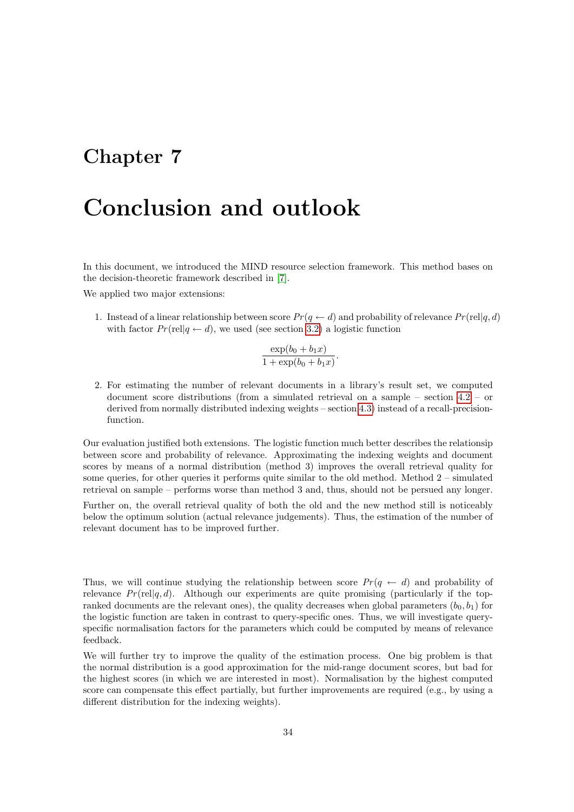## <span id="page-35-0"></span>Conclusion and outlook

In this document, we introduced the MIND resource selection framework. This method bases on the decision-theoretic framework described in [\[7\]](#page-40-4).

We applied two major extensions:

1. Instead of a linear relationship between score  $Pr(q \leftarrow d)$  and probability of relevance  $Pr(\text{rel}|q, d)$ with factor  $Pr(\text{rel}|q \leftarrow d)$ , we used (see section [3.2\)](#page-11-0) a logistic function

$$
\frac{\exp(b_0 + b_1x)}{1 + \exp(b_0 + b_1x)}
$$

.

2. For estimating the number of relevant documents in a library's result set, we computed document score distributions (from a simulated retrieval on a sample – section [4.2](#page-14-0) – or derived from normally distributed indexing weights – section [4.3\)](#page-15-0) instead of a recall-precisionfunction.

Our evaluation justified both extensions. The logistic function much better describes the relationsip between score and probability of relevance. Approximating the indexing weights and document scores by means of a normal distribution (method 3) improves the overall retrieval quality for some queries, for other queries it performs quite similar to the old method. Method 2 – simulated retrieval on sample – performs worse than method 3 and, thus, should not be persued any longer.

Further on, the overall retrieval quality of both the old and the new method still is noticeably below the optimum solution (actual relevance judgements). Thus, the estimation of the number of relevant document has to be improved further.

Thus, we will continue studying the relationship between score  $Pr(q \leftarrow d)$  and probability of relevance  $Pr(\text{rel}|q, d)$ . Although our experiments are quite promising (particularly if the topranked documents are the relevant ones), the quality decreases when global parameters  $(b_0, b_1)$  for the logistic function are taken in contrast to query-specific ones. Thus, we will investigate queryspecific normalisation factors for the parameters which could be computed by means of relevance feedback.

We will further try to improve the quality of the estimation process. One big problem is that the normal distribution is a good approximation for the mid-range document scores, but bad for the highest scores (in which we are interested in most). Normalisation by the highest computed score can compensate this effect partially, but further improvements are required (e.g., by using a different distribution for the indexing weights).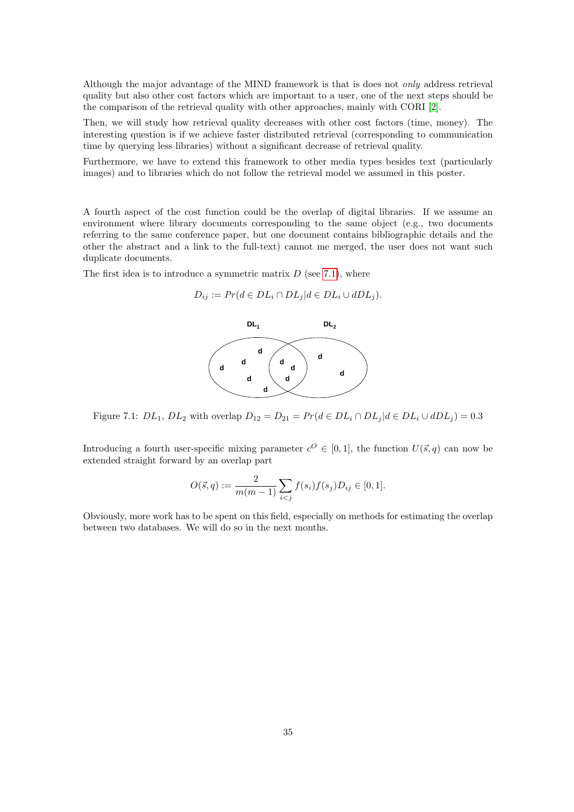Although the major advantage of the MIND framework is that is does not only address retrieval quality but also other cost factors which are important to a user, one of the next steps should be the comparison of the retrieval quality with other approaches, mainly with CORI [\[2\]](#page-40-3).

Then, we will study how retrieval quality decreases with other cost factors (time, money). The interesting question is if we achieve faster distributed retrieval (corresponding to communication time by querying less libraries) without a significant decrease of retrieval quality.

Furthermore, we have to extend this framework to other media types besides text (particularly images) and to libraries which do not follow the retrieval model we assumed in this poster.

A fourth aspect of the cost function could be the overlap of digital libraries. If we assume an environment where library documents corresponding to the same object (e.g., two documents referring to the same conference paper, but one document contains bibliographic details and the other the abstract and a link to the full-text) cannot me merged, the user does not want such duplicate documents.

The first idea is to introduce a symmetric matrix  $D$  (see [7.1\)](#page-36-0), where

$$
D_{ij} := Pr(d \in DL_i \cap DL_j | d \in DL_i \cup dDL_j).
$$



<span id="page-36-0"></span>Figure 7.1:  $DL_1$ ,  $DL_2$  with overlap  $D_{12} = D_{21} = Pr(d \in DL_i \cap DL_j | d \in DL_i \cup dDL_j) = 0.3$ 

Introducing a fourth user-specific mixing parameter  $c^O \in [0,1]$ , the function  $U(\vec{s}, q)$  can now be extended straight forward by an overlap part

$$
O(\vec{s}, q) := \frac{2}{m(m-1)} \sum_{i < j} f(s_i) f(s_j) D_{ij} \in [0, 1].
$$

Obviously, more work has to be spent on this field, especially on methods for estimating the overlap between two databases. We will do so in the next months.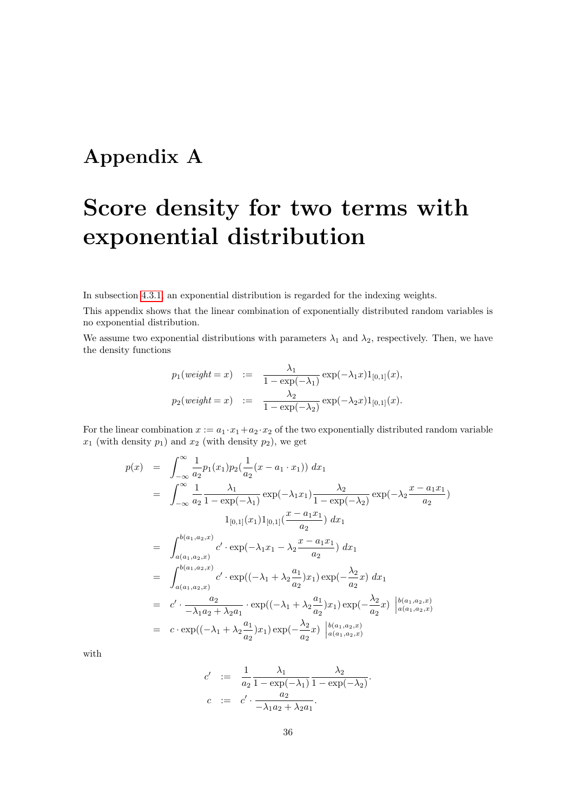## <span id="page-37-0"></span>Appendix A

# Score density for two terms with exponential distribution

In subsection [4.3.1,](#page-15-1) an exponential distribution is regarded for the indexing weights.

This appendix shows that the linear combination of exponentially distributed random variables is no exponential distribution.

We assume two exponential distributions with parameters  $\lambda_1$  and  $\lambda_2$ , respectively. Then, we have the density functions

$$
p_1(weight = x) := \frac{\lambda_1}{1 - \exp(-\lambda_1)} \exp(-\lambda_1 x) 1_{[0,1]}(x),
$$
  

$$
p_2(weight = x) := \frac{\lambda_2}{1 - \exp(-\lambda_2)} \exp(-\lambda_2 x) 1_{[0,1]}(x).
$$

For the linear combination  $x := a_1 \cdot x_1 + a_2 \cdot x_2$  of the two exponentially distributed random variable  $x_1$  (with density  $p_1$ ) and  $x_2$  (with density  $p_2$ ), we get

$$
p(x) = \int_{-\infty}^{\infty} \frac{1}{a_2} p_1(x_1) p_2(\frac{1}{a_2}(x - a_1 \cdot x_1)) dx_1
$$
  
\n
$$
= \int_{-\infty}^{\infty} \frac{1}{a_2} \frac{\lambda_1}{1 - \exp(-\lambda_1)} \exp(-\lambda_1 x_1) \frac{\lambda_2}{1 - \exp(-\lambda_2)} \exp(-\lambda_2 \frac{x - a_1 x_1}{a_2})
$$
  
\n
$$
1_{[0,1]}(x_1) 1_{[0,1]}(\frac{x - a_1 x_1}{a_2}) dx_1
$$
  
\n
$$
= \int_{a(a_1, a_2, x)}^{b(a_1, a_2, x)} c' \cdot \exp(-\lambda_1 x_1 - \lambda_2 \frac{x - a_1 x_1}{a_2}) dx_1
$$
  
\n
$$
= \int_{a(a_1, a_2, x)}^{b(a_1, a_2, x)} c' \cdot \exp((-\lambda_1 + \lambda_2 \frac{a_1}{a_2}) x_1) \exp(-\frac{\lambda_2}{a_2} x) dx_1
$$
  
\n
$$
= c' \cdot \frac{a_2}{-\lambda_1 a_2 + \lambda_2 a_1} \cdot \exp((-\lambda_1 + \lambda_2 \frac{a_1}{a_2}) x_1) \exp(-\frac{\lambda_2}{a_2} x) \begin{vmatrix} b(a_1, a_2, x) \\ a(a_1, a_2, x) \end{vmatrix}
$$
  
\n
$$
= c \cdot \exp((-\lambda_1 + \lambda_2 \frac{a_1}{a_2}) x_1) \exp(-\frac{\lambda_2}{a_2} x) \begin{vmatrix} b(a_1, a_2, x) \\ a(a_1, a_2, x) \end{vmatrix}
$$

with

$$
c' := \frac{1}{a_2} \frac{\lambda_1}{1 - \exp(-\lambda_1)} \frac{\lambda_2}{1 - \exp(-\lambda_2)}
$$
  

$$
c := c' \cdot \frac{a_2}{-\lambda_1 a_2 + \lambda_2 a_1}.
$$

.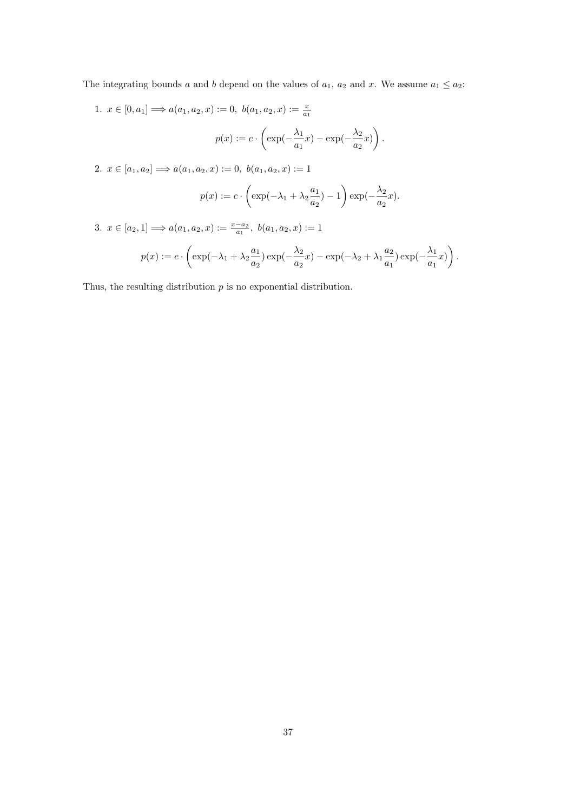The integrating bounds a and b depend on the values of  $a_1$ ,  $a_2$  and x. We assume  $a_1 \le a_2$ :

1.  $x \in [0, a_1] \Longrightarrow a(a_1, a_2, x) := 0, b(a_1, a_2, x) := \frac{x}{a_1}$  $p(x) := c \cdot \left( \exp(-\frac{\lambda_1}{\epsilon} \right)$  $\frac{\lambda_1}{a_1}x$ ) – exp( $-\frac{\lambda_2}{a_2}$  $\frac{\lambda_2}{a_2}x)\bigg)$ .

2.  $x \in [a_1, a_2] \Longrightarrow a(a_1, a_2, x) := 0, b(a_1, a_2, x) := 1$ 

$$
p(x) := c \cdot \left( \exp(-\lambda_1 + \lambda_2 \frac{a_1}{a_2}) - 1 \right) \exp(-\frac{\lambda_2}{a_2}x).
$$

3.  $x \in [a_2, 1] \Longrightarrow a(a_1, a_2, x) := \frac{x - a_2}{a_1}, b(a_1, a_2, x) := 1$ 

$$
p(x) := c \cdot \left( \exp(-\lambda_1 + \lambda_2 \frac{a_1}{a_2}) \exp(-\frac{\lambda_2}{a_2}x) - \exp(-\lambda_2 + \lambda_1 \frac{a_2}{a_1}) \exp(-\frac{\lambda_1}{a_1}x) \right).
$$

Thus, the resulting distribution  $p$  is no exponential distribution.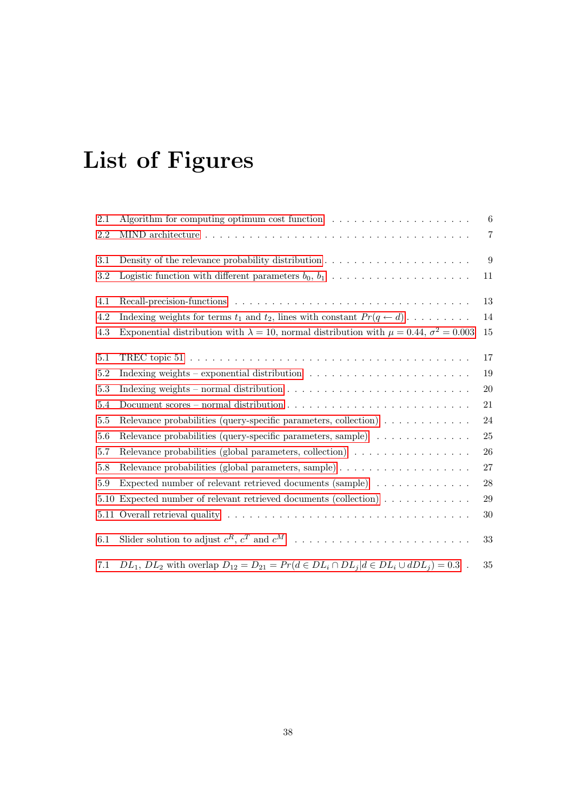# List of Figures

| 2.1     | Algorithm for computing optimum cost function $\dots \dots \dots \dots \dots \dots$                       | 6              |
|---------|-----------------------------------------------------------------------------------------------------------|----------------|
| 2.2     |                                                                                                           | $\overline{7}$ |
| 3.1     | Density of the relevance probability distribution $\dots \dots \dots \dots \dots \dots \dots$             | 9              |
| $3.2\,$ | Logistic function with different parameters $b_0, b_1, \ldots, \ldots, \ldots, \ldots, \ldots$            | 11             |
| 4.1     |                                                                                                           | 13             |
| 4.2     | Indexing weights for terms $t_1$ and $t_2$ , lines with constant $Pr(q \leftarrow d) \dots \dots$         | 14             |
| 4.3     | Exponential distribution with $\lambda = 10$ , normal distribution with $\mu = 0.44$ , $\sigma^2 = 0.003$ | 15             |
| 5.1     |                                                                                                           | 17             |
| 5.2     | Indexing weights – exponential distribution $\dots \dots \dots \dots \dots \dots \dots \dots$             | 19             |
| 5.3     | Indexing weights – normal distribution $\dots \dots \dots \dots \dots \dots \dots \dots \dots \dots$      | 20             |
| 5.4     |                                                                                                           | 21             |
| 5.5     | Relevance probabilities (query-specific parameters, collection)                                           | 24             |
| 5.6     | Relevance probabilities (query-specific parameters, sample)                                               | 25             |
| 5.7     | Relevance probabilities (global parameters, collection)                                                   | 26             |
| 5.8     |                                                                                                           | 27             |
| 5.9     | Expected number of relevant retrieved documents $(sample) \dots \dots \dots \dots$                        | ${\bf 28}$     |
| 5.10    | Expected number of relevant retrieved documents (collection)                                              | 29             |
|         |                                                                                                           | 30             |
| 6.1     |                                                                                                           | 33             |
| 7.1     | $DL_1, DL_2$ with overlap $D_{12} = D_{21} = Pr(d \in DL_i \cap DL_j   d \in DL_i \cup dDL_j) = 0.3$ .    | 35             |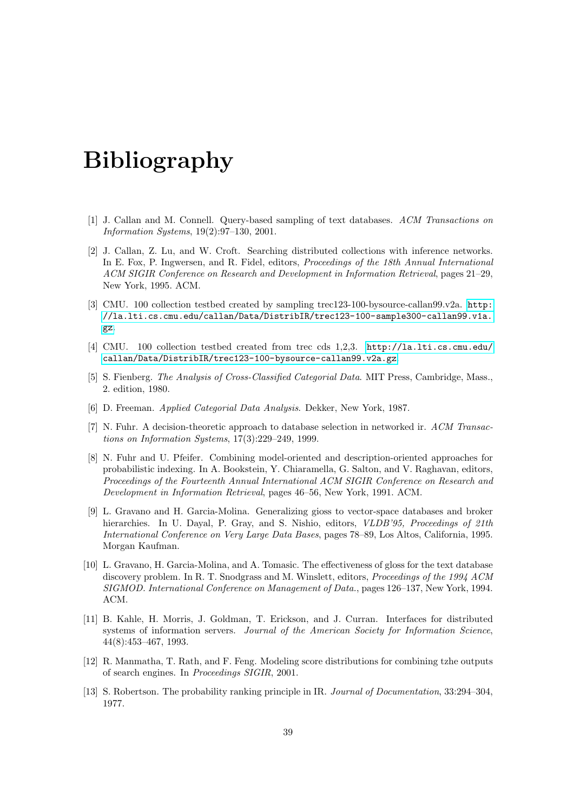## Bibliography

- <span id="page-40-9"></span>[1] J. Callan and M. Connell. Query-based sampling of text databases. ACM Transactions on Information Systems, 19(2):97–130, 2001.
- <span id="page-40-3"></span>[2] J. Callan, Z. Lu, and W. Croft. Searching distributed collections with inference networks. In E. Fox, P. Ingwersen, and R. Fidel, editors, Proceedings of the 18th Annual International ACM SIGIR Conference on Research and Development in Information Retrieval, pages 21–29, New York, 1995. ACM.
- <span id="page-40-12"></span>[3] CMU. 100 collection testbed created by sampling trec123-100-bysource-callan99.v2a. [http:](http://la.lti.cs.cmu.edu/callan/Data/DistribIR/trec123-100-sample300-callan99.v1a.gz) [//la.lti.cs.cmu.edu/callan/Data/DistribIR/trec123-100-sample300-callan99.v1a.](http://la.lti.cs.cmu.edu/callan/Data/DistribIR/trec123-100-sample300-callan99.v1a.gz) [gz](http://la.lti.cs.cmu.edu/callan/Data/DistribIR/trec123-100-sample300-callan99.v1a.gz).
- <span id="page-40-11"></span>[4] CMU. 100 collection testbed created from trec cds 1,2,3. [http://la.lti.cs.cmu.edu/](http://la.lti.cs.cmu.edu/callan/Data/DistribIR/trec123-100-bysource-callan99.v2a.gz) [callan/Data/DistribIR/trec123-100-bysource-callan99.v2a.gz](http://la.lti.cs.cmu.edu/callan/Data/DistribIR/trec123-100-bysource-callan99.v2a.gz).
- <span id="page-40-6"></span>[5] S. Fienberg. The Analysis of Cross-Classified Categorial Data. MIT Press, Cambridge, Mass., 2. edition, 1980.
- <span id="page-40-7"></span>[6] D. Freeman. Applied Categorial Data Analysis. Dekker, New York, 1987.
- <span id="page-40-4"></span>[7] N. Fuhr. A decision-theoretic approach to database selection in networked ir. ACM Transactions on Information Systems, 17(3):229–249, 1999.
- <span id="page-40-8"></span>[8] N. Fuhr and U. Pfeifer. Combining model-oriented and description-oriented approaches for probabilistic indexing. In A. Bookstein, Y. Chiaramella, G. Salton, and V. Raghavan, editors, Proceedings of the Fourteenth Annual International ACM SIGIR Conference on Research and Development in Information Retrieval, pages 46–56, New York, 1991. ACM.
- <span id="page-40-2"></span>[9] L. Gravano and H. Garcia-Molina. Generalizing gioss to vector-space databases and broker hierarchies. In U. Dayal, P. Gray, and S. Nishio, editors, *VLDB'95, Proceedings of 21th* International Conference on Very Large Data Bases, pages 78–89, Los Altos, California, 1995. Morgan Kaufman.
- <span id="page-40-1"></span>[10] L. Gravano, H. Garcia-Molina, and A. Tomasic. The effectiveness of gloss for the text database discovery problem. In R. T. Snodgrass and M. Winslett, editors, Proceedings of the 1994 ACM SIGMOD. International Conference on Management of Data., pages 126–137, New York, 1994. ACM.
- <span id="page-40-0"></span>[11] B. Kahle, H. Morris, J. Goldman, T. Erickson, and J. Curran. Interfaces for distributed systems of information servers. Journal of the American Society for Information Science, 44(8):453–467, 1993.
- <span id="page-40-10"></span>[12] R. Manmatha, T. Rath, and F. Feng. Modeling score distributions for combining tzhe outputs of search engines. In Proceedings SIGIR, 2001.
- <span id="page-40-5"></span>[13] S. Robertson. The probability ranking principle in IR. Journal of Documentation, 33:294–304, 1977.